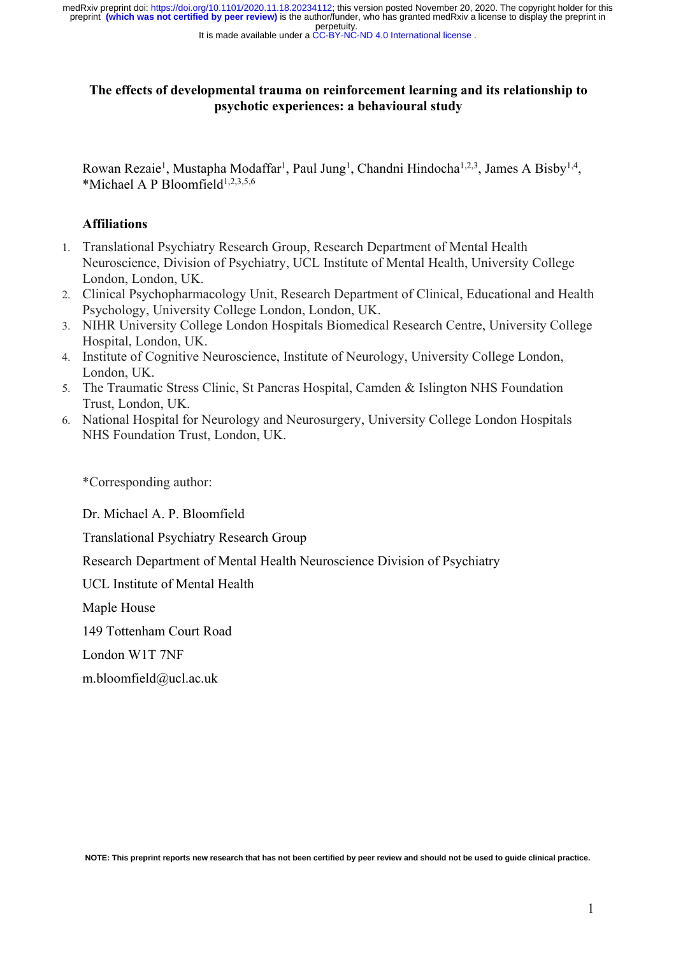perpetuity. preprint **(which was not certified by peer review)** is the author/funder, who has granted medRxiv a license to display the preprint in medRxiv preprint doi: [https://doi.org/10.1101/2020.11.18.20234112;](https://doi.org/10.1101/2020.11.18.20234112) this version posted November 20, 2020. The copyright holder for this

It is made available under a [CC-BY-NC-ND 4.0 International license](http://creativecommons.org/licenses/by-nc-nd/4.0/) .

# **The effects of developmental trauma on reinforcement learning and its relationship to psychotic experiences: a behavioural study**

Rowan Rezaie<sup>1</sup>, Mustapha Modaffar<sup>1</sup>, Paul Jung<sup>1</sup>, Chandni Hindocha<sup>1,2,3</sup>, James A Bisby<sup>1,4</sup>, \*Michael A P Bloomfield<sup>1,2,3,5,6</sup>

## **Affiliations**

- 1. Translational Psychiatry Research Group, Research Department of Mental Health Neuroscience, Division of Psychiatry, UCL Institute of Mental Health, University College London, London, UK.
- 2. Clinical Psychopharmacology Unit, Research Department of Clinical, Educational and Health Psychology, University College London, London, UK.
- 3. NIHR University College London Hospitals Biomedical Research Centre, University College Hospital, London, UK.
- 4. Institute of Cognitive Neuroscience, Institute of Neurology, University College London, London, UK.
- 5. The Traumatic Stress Clinic, St Pancras Hospital, Camden & Islington NHS Foundation Trust, London, UK.
- 6. National Hospital for Neurology and Neurosurgery, University College London Hospitals NHS Foundation Trust, London, UK.

\*Corresponding author:

Dr. Michael A. P. Bloomfield

Translational Psychiatry Research Group

Research Department of Mental Health Neuroscience Division of Psychiatry

UCL Institute of Mental Health

Maple House

149 Tottenham Court Road

London W1T 7NF

m.bloomfield@ucl.ac.uk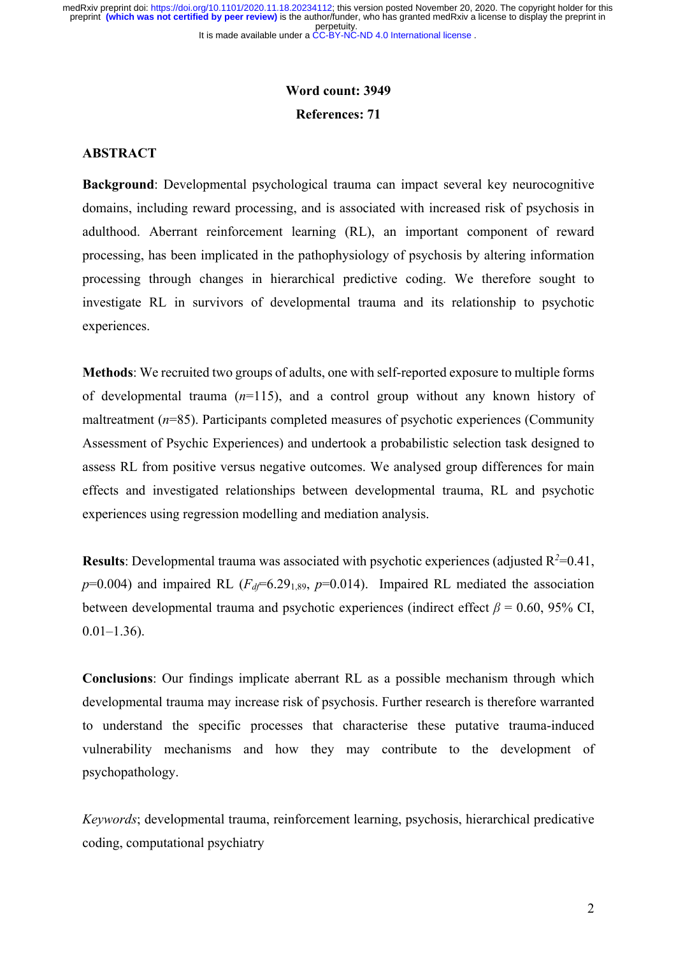# **Word count: 3949 References: 71**

#### **ABSTRACT**

**Background**: Developmental psychological trauma can impact several key neurocognitive domains, including reward processing, and is associated with increased risk of psychosis in adulthood. Aberrant reinforcement learning (RL), an important component of reward processing, has been implicated in the pathophysiology of psychosis by altering information processing through changes in hierarchical predictive coding. We therefore sought to investigate RL in survivors of developmental trauma and its relationship to psychotic experiences.

**Methods**: We recruited two groups of adults, one with self-reported exposure to multiple forms of developmental trauma (*n*=115), and a control group without any known history of maltreatment ( $n=85$ ). Participants completed measures of psychotic experiences (Community Assessment of Psychic Experiences) and undertook a probabilistic selection task designed to assess RL from positive versus negative outcomes. We analysed group differences for main effects and investigated relationships between developmental trauma, RL and psychotic experiences using regression modelling and mediation analysis.

**Results**: Developmental trauma was associated with psychotic experiences (adjusted  $R^2$ =0.41,  $p=0.004$ ) and impaired RL ( $F<sub>df</sub>=6.29<sub>1.89</sub>$ ,  $p=0.014$ ). Impaired RL mediated the association between developmental trauma and psychotic experiences (indirect effect  $\beta$  = 0.60, 95% CI,  $0.01-1.36$ ).

**Conclusions**: Our findings implicate aberrant RL as a possible mechanism through which developmental trauma may increase risk of psychosis. Further research is therefore warranted to understand the specific processes that characterise these putative trauma-induced vulnerability mechanisms and how they may contribute to the development of psychopathology.

*Keywords*; developmental trauma, reinforcement learning, psychosis, hierarchical predicative coding, computational psychiatry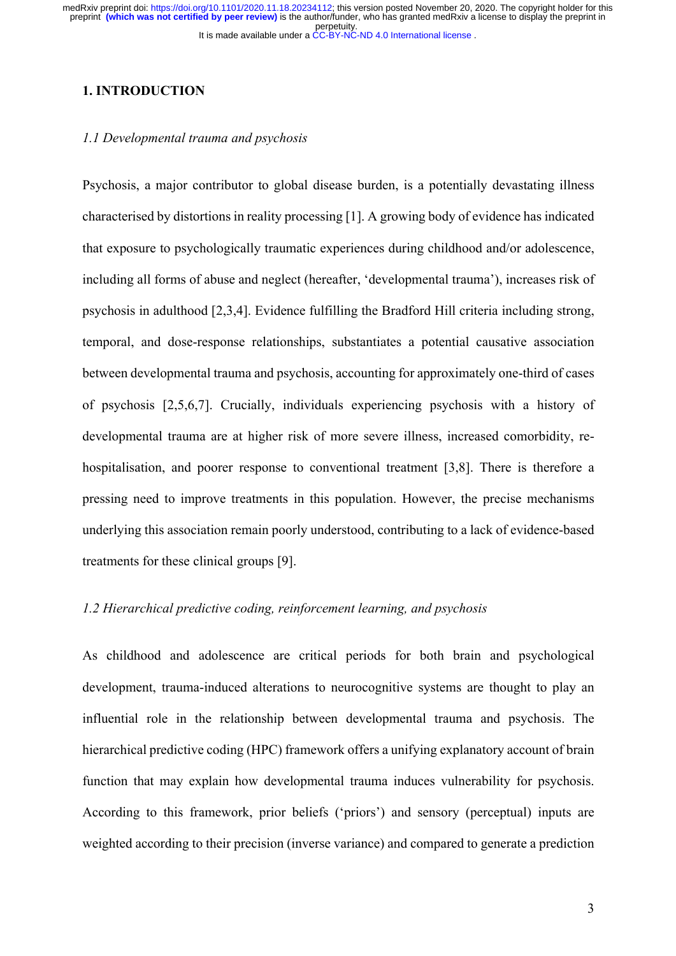# **1. INTRODUCTION**

## *1.1 Developmental trauma and psychosis*

Psychosis, a major contributor to global disease burden, is a potentially devastating illness characterised by distortions in reality processing [1]. A growing body of evidence has indicated that exposure to psychologically traumatic experiences during childhood and/or adolescence, including all forms of abuse and neglect (hereafter, 'developmental trauma'), increases risk of psychosis in adulthood [2,3,4]. Evidence fulfilling the Bradford Hill criteria including strong, temporal, and dose-response relationships, substantiates a potential causative association between developmental trauma and psychosis, accounting for approximately one-third of cases of psychosis [2,5,6,7]. Crucially, individuals experiencing psychosis with a history of developmental trauma are at higher risk of more severe illness, increased comorbidity, rehospitalisation, and poorer response to conventional treatment [3,8]. There is therefore a pressing need to improve treatments in this population. However, the precise mechanisms underlying this association remain poorly understood, contributing to a lack of evidence-based treatments for these clinical groups [9].

# *1.2 Hierarchical predictive coding, reinforcement learning, and psychosis*

As childhood and adolescence are critical periods for both brain and psychological development, trauma-induced alterations to neurocognitive systems are thought to play an influential role in the relationship between developmental trauma and psychosis. The hierarchical predictive coding (HPC) framework offers a unifying explanatory account of brain function that may explain how developmental trauma induces vulnerability for psychosis. According to this framework, prior beliefs ('priors') and sensory (perceptual) inputs are weighted according to their precision (inverse variance) and compared to generate a prediction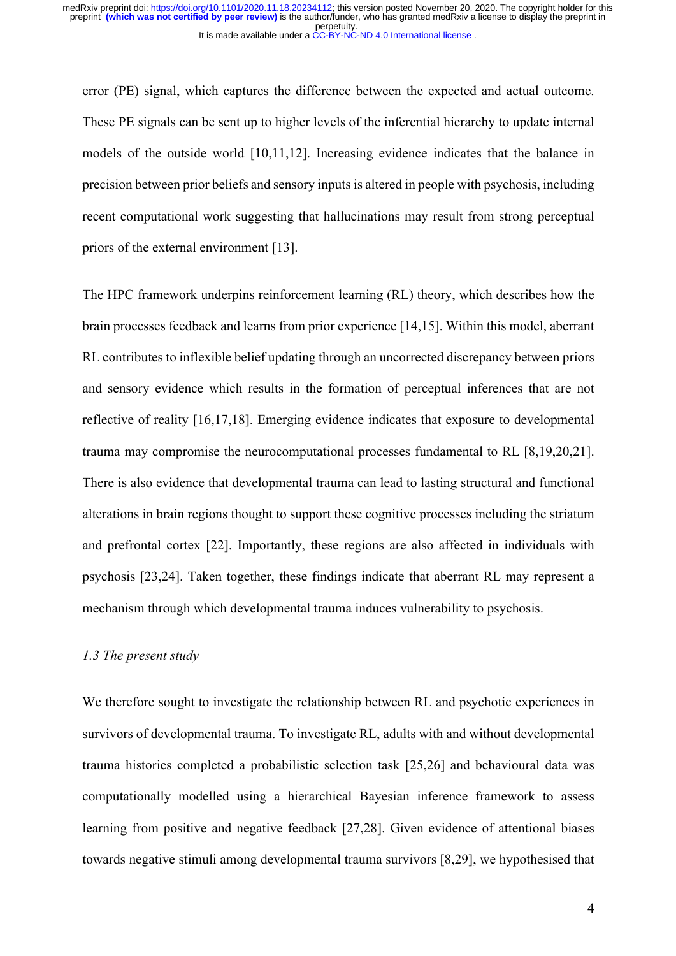error (PE) signal, which captures the difference between the expected and actual outcome. These PE signals can be sent up to higher levels of the inferential hierarchy to update internal models of the outside world [10,11,12]. Increasing evidence indicates that the balance in precision between prior beliefs and sensory inputs is altered in people with psychosis, including recent computational work suggesting that hallucinations may result from strong perceptual priors of the external environment [13].

The HPC framework underpins reinforcement learning (RL) theory, which describes how the brain processes feedback and learns from prior experience [14,15]. Within this model, aberrant RL contributes to inflexible belief updating through an uncorrected discrepancy between priors and sensory evidence which results in the formation of perceptual inferences that are not reflective of reality [16,17,18]. Emerging evidence indicates that exposure to developmental trauma may compromise the neurocomputational processes fundamental to RL [8,19,20,21]. There is also evidence that developmental trauma can lead to lasting structural and functional alterations in brain regions thought to support these cognitive processes including the striatum and prefrontal cortex [22]. Importantly, these regions are also affected in individuals with psychosis [23,24]. Taken together, these findings indicate that aberrant RL may represent a mechanism through which developmental trauma induces vulnerability to psychosis.

## *1.3 The present study*

We therefore sought to investigate the relationship between RL and psychotic experiences in survivors of developmental trauma. To investigate RL, adults with and without developmental trauma histories completed a probabilistic selection task [25,26] and behavioural data was computationally modelled using a hierarchical Bayesian inference framework to assess learning from positive and negative feedback [27,28]. Given evidence of attentional biases towards negative stimuli among developmental trauma survivors [8,29], we hypothesised that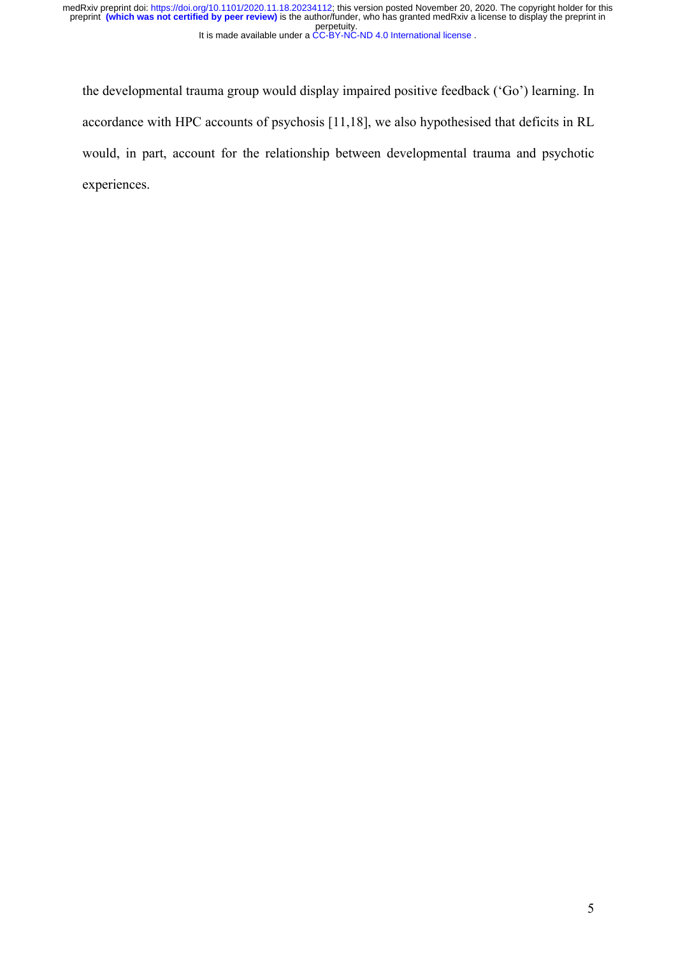the developmental trauma group would display impaired positive feedback ('Go') learning. In accordance with HPC accounts of psychosis [11,18], we also hypothesised that deficits in RL would, in part, account for the relationship between developmental trauma and psychotic experiences.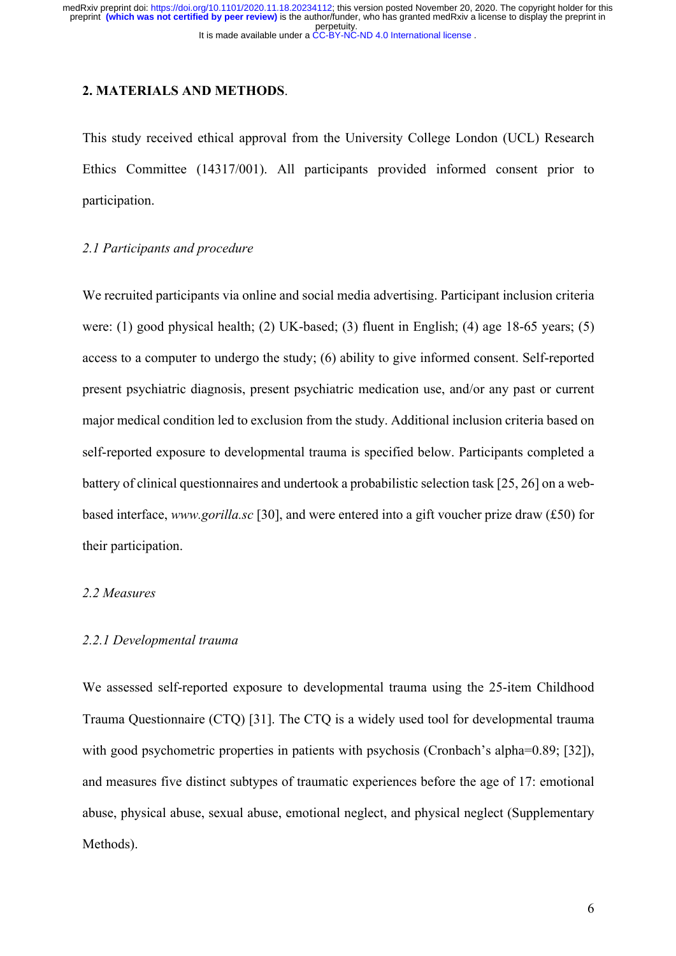## **2. MATERIALS AND METHODS**.

This study received ethical approval from the University College London (UCL) Research Ethics Committee (14317/001). All participants provided informed consent prior to participation.

## *2.1 Participants and procedure*

We recruited participants via online and social media advertising. Participant inclusion criteria were: (1) good physical health; (2) UK-based; (3) fluent in English; (4) age 18-65 years; (5) access to a computer to undergo the study; (6) ability to give informed consent. Self-reported present psychiatric diagnosis, present psychiatric medication use, and/or any past or current major medical condition led to exclusion from the study. Additional inclusion criteria based on self-reported exposure to developmental trauma is specified below. Participants completed a battery of clinical questionnaires and undertook a probabilistic selection task [25, 26] on a webbased interface, *www.gorilla.sc* [30], and were entered into a gift voucher prize draw (£50) for their participation.

#### *2.2 Measures*

# *2.2.1 Developmental trauma*

We assessed self-reported exposure to developmental trauma using the 25-item Childhood Trauma Questionnaire (CTQ) [31]. The CTQ is a widely used tool for developmental trauma with good psychometric properties in patients with psychosis (Cronbach's alpha=0.89; [32]), and measures five distinct subtypes of traumatic experiences before the age of 17: emotional abuse, physical abuse, sexual abuse, emotional neglect, and physical neglect (Supplementary Methods).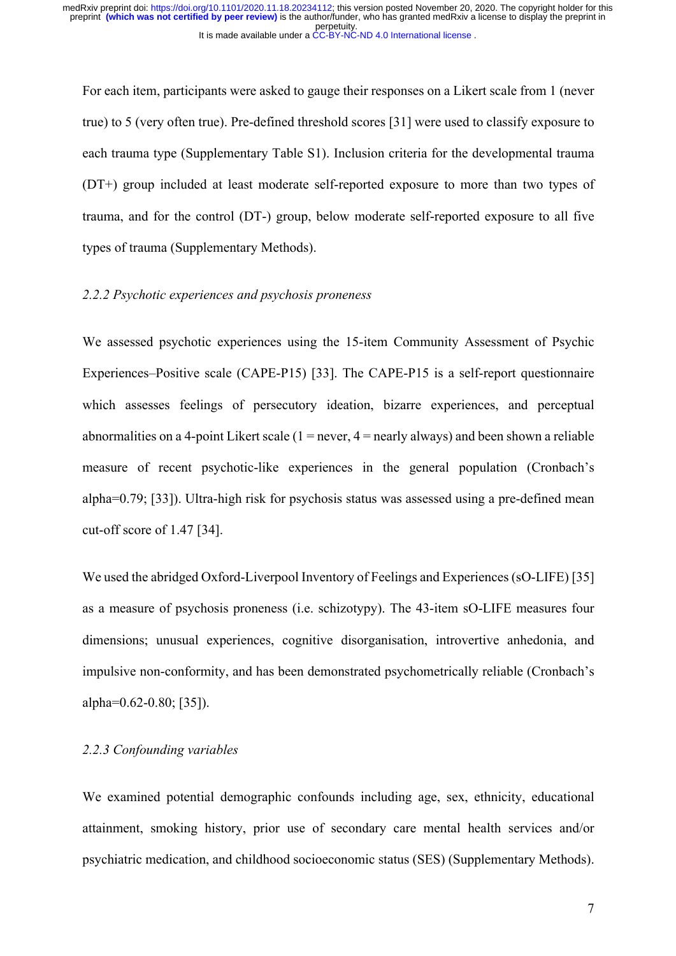For each item, participants were asked to gauge their responses on a Likert scale from 1 (never true) to 5 (very often true). Pre-defined threshold scores [31] were used to classify exposure to each trauma type (Supplementary Table S1). Inclusion criteria for the developmental trauma (DT+) group included at least moderate self-reported exposure to more than two types of trauma, and for the control (DT-) group, below moderate self-reported exposure to all five types of trauma (Supplementary Methods).

# *2.2.2 Psychotic experiences and psychosis proneness*

We assessed psychotic experiences using the 15-item Community Assessment of Psychic Experiences–Positive scale (CAPE-P15) [33]. The CAPE-P15 is a self-report questionnaire which assesses feelings of persecutory ideation, bizarre experiences, and perceptual abnormalities on a 4-point Likert scale  $(1 = never, 4 = nearly always)$  and been shown a reliable measure of recent psychotic-like experiences in the general population (Cronbach's alpha=0.79; [33]). Ultra-high risk for psychosis status was assessed using a pre-defined mean cut-off score of 1.47 [34].

We used the abridged Oxford-Liverpool Inventory of Feelings and Experiences (sO-LIFE) [35] as a measure of psychosis proneness (i.e. schizotypy). The 43-item sO-LIFE measures four dimensions; unusual experiences, cognitive disorganisation, introvertive anhedonia, and impulsive non-conformity, and has been demonstrated psychometrically reliable (Cronbach's alpha=0.62-0.80; [35]).

## *2.2.3 Confounding variables*

We examined potential demographic confounds including age, sex, ethnicity, educational attainment, smoking history, prior use of secondary care mental health services and/or psychiatric medication, and childhood socioeconomic status (SES) (Supplementary Methods).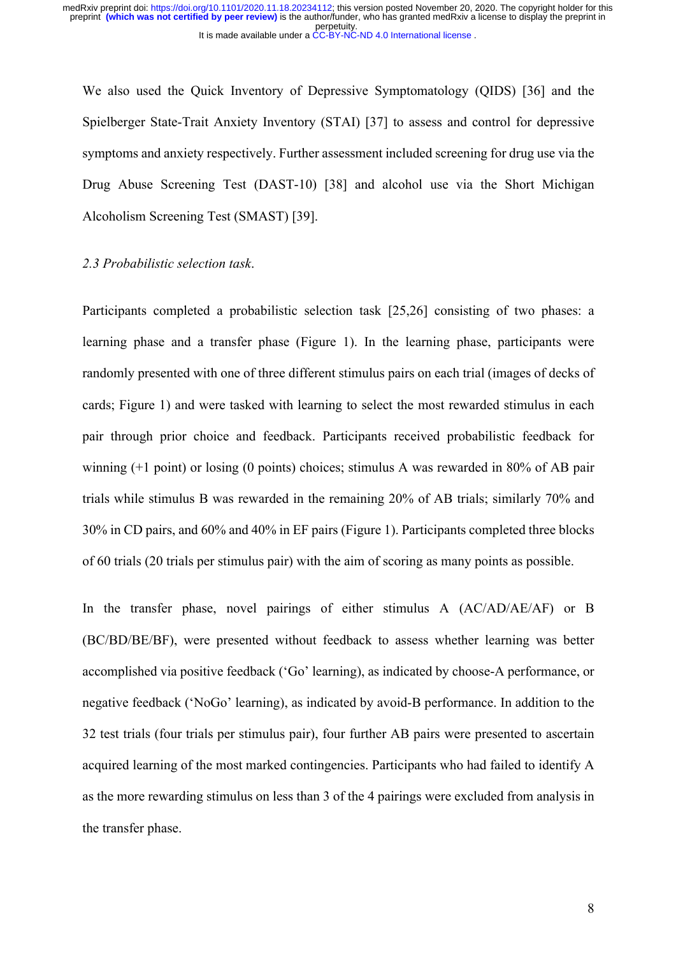We also used the Quick Inventory of Depressive Symptomatology (QIDS) [36] and the Spielberger State-Trait Anxiety Inventory (STAI) [37] to assess and control for depressive symptoms and anxiety respectively. Further assessment included screening for drug use via the Drug Abuse Screening Test (DAST-10) [38] and alcohol use via the Short Michigan Alcoholism Screening Test (SMAST) [39].

### *2.3 Probabilistic selection task*.

Participants completed a probabilistic selection task [25,26] consisting of two phases: a learning phase and a transfer phase (Figure 1). In the learning phase, participants were randomly presented with one of three different stimulus pairs on each trial (images of decks of cards; Figure 1) and were tasked with learning to select the most rewarded stimulus in each pair through prior choice and feedback. Participants received probabilistic feedback for winning (+1 point) or losing (0 points) choices; stimulus A was rewarded in 80% of AB pair trials while stimulus B was rewarded in the remaining 20% of AB trials; similarly 70% and 30% in CD pairs, and 60% and 40% in EF pairs (Figure 1). Participants completed three blocks of 60 trials (20 trials per stimulus pair) with the aim of scoring as many points as possible.

In the transfer phase, novel pairings of either stimulus A (AC/AD/AE/AF) or B (BC/BD/BE/BF), were presented without feedback to assess whether learning was better accomplished via positive feedback ('Go' learning), as indicated by choose-A performance, or negative feedback ('NoGo' learning), as indicated by avoid-B performance. In addition to the 32 test trials (four trials per stimulus pair), four further AB pairs were presented to ascertain acquired learning of the most marked contingencies. Participants who had failed to identify A as the more rewarding stimulus on less than 3 of the 4 pairings were excluded from analysis in the transfer phase.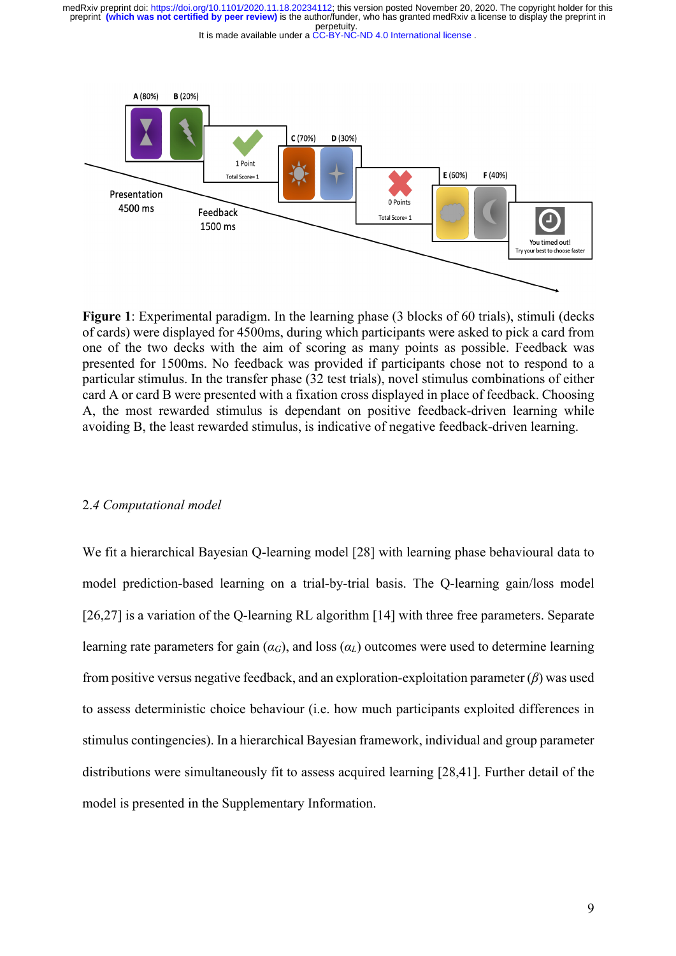

**Figure 1**: Experimental paradigm. In the learning phase (3 blocks of 60 trials), stimuli (decks of cards) were displayed for 4500ms, during which participants were asked to pick a card from one of the two decks with the aim of scoring as many points as possible. Feedback was presented for 1500ms. No feedback was provided if participants chose not to respond to a particular stimulus. In the transfer phase (32 test trials), novel stimulus combinations of either card A or card B were presented with a fixation cross displayed in place of feedback. Choosing A, the most rewarded stimulus is dependant on positive feedback-driven learning while avoiding B, the least rewarded stimulus, is indicative of negative feedback-driven learning.

#### 2.*4 Computational model*

We fit a hierarchical Bayesian Q-learning model [28] with learning phase behavioural data to model prediction-based learning on a trial-by-trial basis. The Q-learning gain/loss model [26,27] is a variation of the Q-learning RL algorithm [14] with three free parameters. Separate learning rate parameters for gain  $(a_G)$ , and loss  $(a_L)$  outcomes were used to determine learning from positive versus negative feedback, and an exploration-exploitation parameter (*β*) was used to assess deterministic choice behaviour (i.e. how much participants exploited differences in stimulus contingencies). In a hierarchical Bayesian framework, individual and group parameter distributions were simultaneously fit to assess acquired learning [28,41]. Further detail of the model is presented in the Supplementary Information.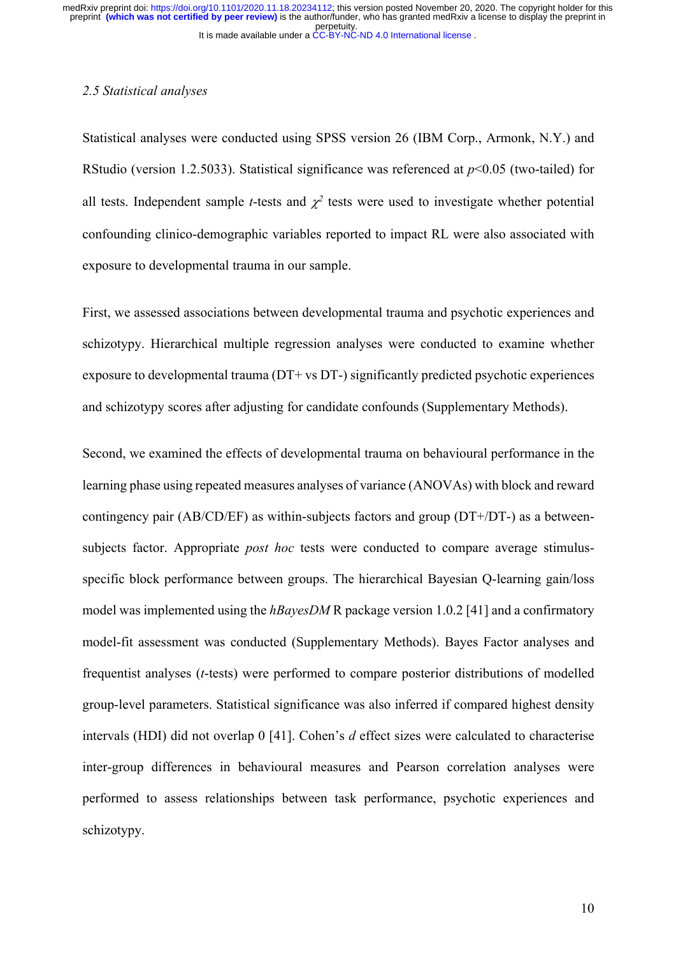## *2.5 Statistical analyses*

Statistical analyses were conducted using SPSS version 26 (IBM Corp., Armonk, N.Y.) and RStudio (version 1.2.5033). Statistical significance was referenced at *p*<0.05 (two-tailed) for all tests. Independent sample *t*-tests and  $\chi^2$  tests were used to investigate whether potential confounding clinico-demographic variables reported to impact RL were also associated with exposure to developmental trauma in our sample.

First, we assessed associations between developmental trauma and psychotic experiences and schizotypy. Hierarchical multiple regression analyses were conducted to examine whether exposure to developmental trauma (DT+ vs DT-) significantly predicted psychotic experiences and schizotypy scores after adjusting for candidate confounds (Supplementary Methods).

Second, we examined the effects of developmental trauma on behavioural performance in the learning phase using repeated measures analyses of variance (ANOVAs) with block and reward contingency pair (AB/CD/EF) as within-subjects factors and group (DT+/DT-) as a betweensubjects factor. Appropriate *post hoc* tests were conducted to compare average stimulusspecific block performance between groups. The hierarchical Bayesian Q-learning gain/loss model was implemented using the *hBayesDM* R package version 1.0.2 [41] and a confirmatory model-fit assessment was conducted (Supplementary Methods). Bayes Factor analyses and frequentist analyses (*t*-tests) were performed to compare posterior distributions of modelled group-level parameters. Statistical significance was also inferred if compared highest density intervals (HDI) did not overlap 0 [41]. Cohen's *d* effect sizes were calculated to characterise inter-group differences in behavioural measures and Pearson correlation analyses were performed to assess relationships between task performance, psychotic experiences and schizotypy.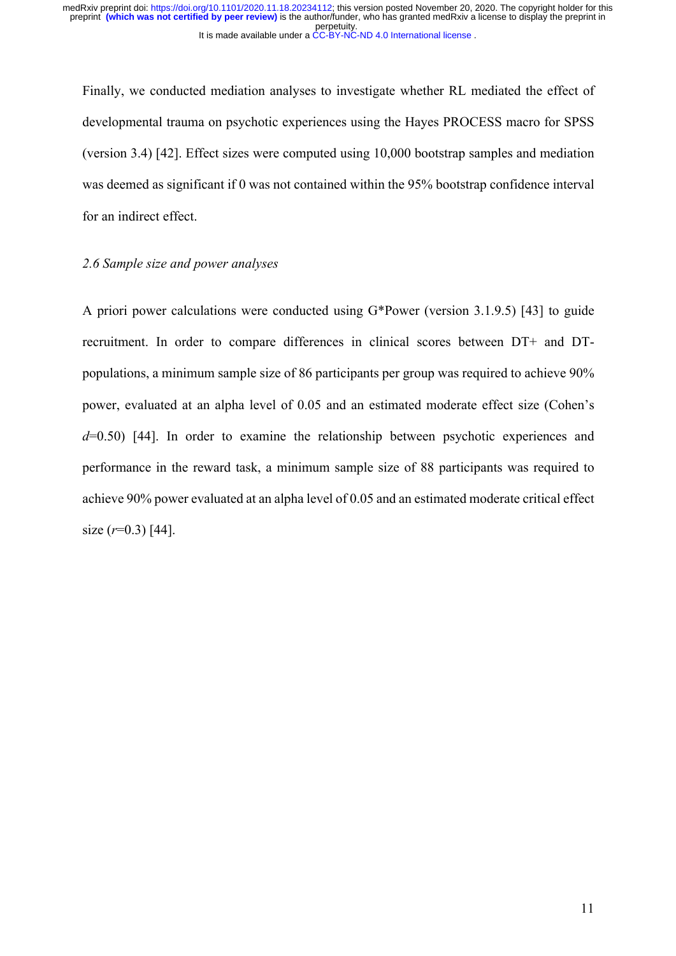Finally, we conducted mediation analyses to investigate whether RL mediated the effect of developmental trauma on psychotic experiences using the Hayes PROCESS macro for SPSS (version 3.4) [42]. Effect sizes were computed using 10,000 bootstrap samples and mediation was deemed as significant if 0 was not contained within the 95% bootstrap confidence interval for an indirect effect.

## *2.6 Sample size and power analyses*

A priori power calculations were conducted using G\*Power (version 3.1.9.5) [43] to guide recruitment. In order to compare differences in clinical scores between DT+ and DTpopulations, a minimum sample size of 86 participants per group was required to achieve 90% power, evaluated at an alpha level of 0.05 and an estimated moderate effect size (Cohen's *d*=0.50) [44]. In order to examine the relationship between psychotic experiences and performance in the reward task, a minimum sample size of 88 participants was required to achieve 90% power evaluated at an alpha level of 0.05 and an estimated moderate critical effect size (*r*=0.3) [44].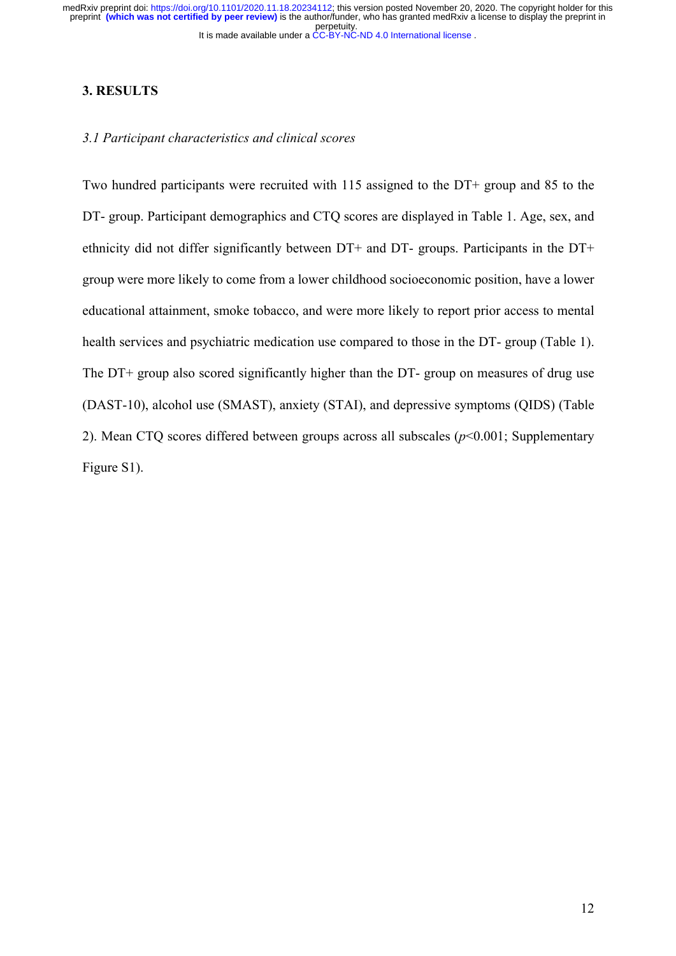## **3. RESULTS**

#### *3.1 Participant characteristics and clinical scores*

Two hundred participants were recruited with 115 assigned to the DT+ group and 85 to the DT- group. Participant demographics and CTQ scores are displayed in Table 1. Age, sex, and ethnicity did not differ significantly between DT+ and DT- groups. Participants in the DT+ group were more likely to come from a lower childhood socioeconomic position, have a lower educational attainment, smoke tobacco, and were more likely to report prior access to mental health services and psychiatric medication use compared to those in the DT- group (Table 1). The DT+ group also scored significantly higher than the DT- group on measures of drug use (DAST-10), alcohol use (SMAST), anxiety (STAI), and depressive symptoms (QIDS) (Table 2). Mean CTQ scores differed between groups across all subscales (*p*<0.001; Supplementary Figure S1).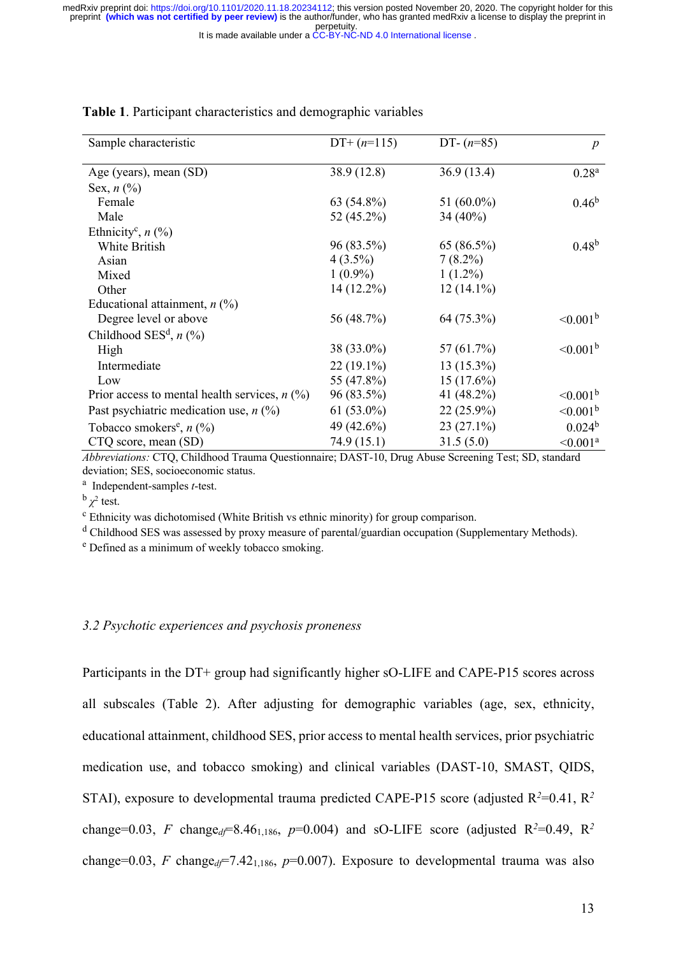perpetuity. medRxiv preprint doi: [https://doi.org/10.1101/2020.11.18.20234112;](https://doi.org/10.1101/2020.11.18.20234112) this version posted November 20, 2020. The copyright holder for this<br>preprint (which was not certified by peer review) is the author/funder, who has grante

It is made available under a [CC-BY-NC-ND 4.0 International license](http://creativecommons.org/licenses/by-nc-nd/4.0/) .

| Sample characteristic                           | $DT+(n=115)$ | DT- $(n=85)$  | $\boldsymbol{p}$     |
|-------------------------------------------------|--------------|---------------|----------------------|
| Age (years), mean (SD)                          | 38.9 (12.8)  | 36.9(13.4)    | $0.28^{a}$           |
| Sex, $n$ (%)                                    |              |               |                      |
| Female                                          | 63 (54.8%)   | 51 $(60.0\%)$ | $0.46^{\rm b}$       |
| Male                                            | 52 (45.2%)   | 34 $(40\%)$   |                      |
| Ethnicity <sup>c</sup> , $n$ (%)                |              |               |                      |
| White British                                   | 96 (83.5%)   | 65(86.5%)     | $0.48^{b}$           |
| Asian                                           | $4(3.5\%)$   | $7(8.2\%)$    |                      |
| Mixed                                           | $1(0.9\%)$   | $1(1.2\%)$    |                      |
| Other                                           | $14(12.2\%)$ | $12(14.1\%)$  |                      |
| Educational attainment, $n$ (%)                 |              |               |                      |
| Degree level or above                           | 56 (48.7%)   | 64 (75.3%)    | $\leq 0.001^{\rm b}$ |
| Childhood SES <sup>d</sup> , $n$ (%)            |              |               |                      |
| High                                            | 38 (33.0%)   | 57 (61.7%)    | $\leq 0.001^{\rm b}$ |
| Intermediate                                    | $22(19.1\%)$ | $13(15.3\%)$  |                      |
| Low                                             | 55 (47.8%)   | 15 (17.6%)    |                      |
| Prior access to mental health services, $n$ (%) | 96 (83.5%)   | 41 (48.2%)    | $\leq 0.001^{\rm b}$ |
| Past psychiatric medication use, $n$ (%)        | $61(53.0\%)$ | $22(25.9\%)$  | $\leq 0.001^{\rm b}$ |
| Tobacco smokers <sup>e</sup> , $n$ (%)          | 49 (42.6%)   | $23(27.1\%)$  | 0.024 <sup>b</sup>   |
| CTQ score, mean (SD)                            | 74.9 (15.1)  | 31.5(5.0)     | $\leq 0.001^a$       |

## **Table 1**. Participant characteristics and demographic variables

*Abbreviations:* CTQ, Childhood Trauma Questionnaire; DAST-10, Drug Abuse Screening Test; SD, standard deviation; SES, socioeconomic status.

a Independent-samples *t*-test.

 $\frac{b}{\chi^2}$  test.<br><sup>c</sup> Ethnicity was dichotomised (White British vs ethnic minority) for group comparison.

<sup>d</sup> Childhood SES was assessed by proxy measure of parental/guardian occupation (Supplementary Methods).

<sup>e</sup> Defined as a minimum of weekly tobacco smoking.

#### *3.2 Psychotic experiences and psychosis proneness*

Participants in the DT+ group had significantly higher sO-LIFE and CAPE-P15 scores across all subscales (Table 2). After adjusting for demographic variables (age, sex, ethnicity, educational attainment, childhood SES, prior access to mental health services, prior psychiatric medication use, and tobacco smoking) and clinical variables (DAST-10, SMAST, QIDS, STAI), exposure to developmental trauma predicted CAPE-P15 score (adjusted  $R^2$ =0.41,  $R^2$ change=0.03, *F* change<sub>d</sub>=8.46<sub>1,186</sub>, *p*=0.004) and sO-LIFE score (adjusted R<sup>2</sup>=0.49, R<sup>2</sup> change=0.03, *F* change<sub>d</sub> $\epsilon$ =7.42<sub>1,186</sub>, *p*=0.007). Exposure to developmental trauma was also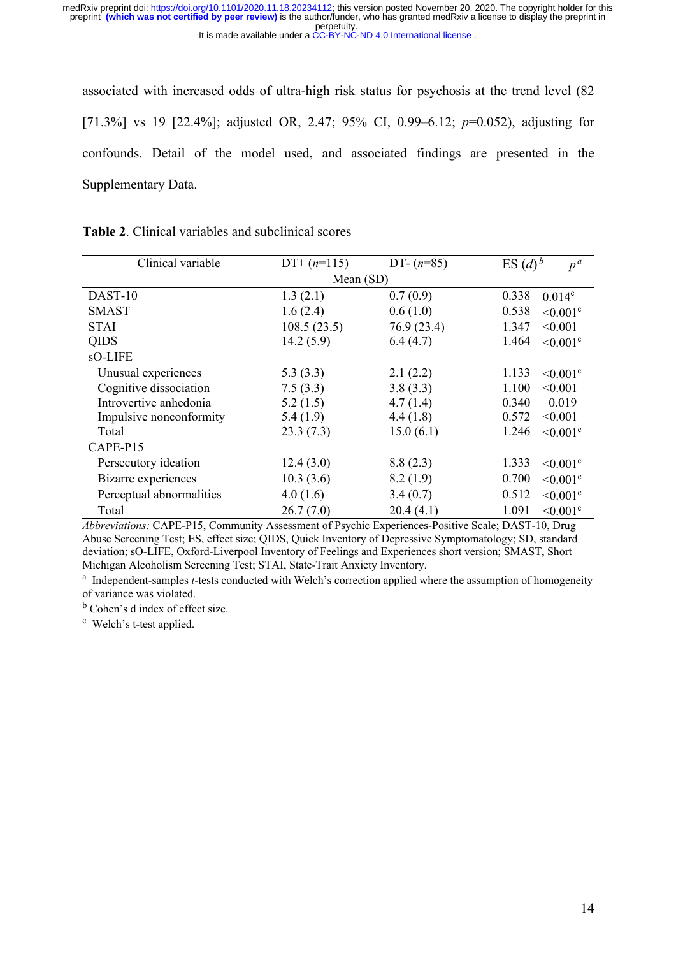associated with increased odds of ultra-high risk status for psychosis at the trend level (82 [71.3%] vs 19 [22.4%]; adjusted OR, 2.47; 95% CI, 0.99–6.12; *p*=0.052), adjusting for confounds. Detail of the model used, and associated findings are presented in the Supplementary Data.

| <b>Table 2.</b> Clinical variables and subclinical scores |  |
|-----------------------------------------------------------|--|
|-----------------------------------------------------------|--|

| Clinical variable        | $DT+(n=115)$ | DT- $(n=85)$ | ES $(d)^b$<br>$p^{\,a}$            |
|--------------------------|--------------|--------------|------------------------------------|
|                          | Mean $(SD)$  |              |                                    |
| DAST-10                  | 1.3(2.1)     | 0.7(0.9)     | 0.338<br>$0.014^c$                 |
| <b>SMAST</b>             | 1.6(2.4)     | 0.6(1.0)     | 0.538<br>$< 0.001$ <sup>c</sup>    |
| <b>STAI</b>              | 108.5(23.5)  | 76.9 (23.4)  | 1.347<br>< 0.001                   |
| <b>QIDS</b>              | 14.2(5.9)    | 6.4(4.7)     | 1.464<br>$\leq 0.001$ °            |
| sO-LIFE                  |              |              |                                    |
| Unusual experiences      | 5.3(3.3)     | 2.1(2.2)     | 1.133<br>$\leq 0.001$ <sup>c</sup> |
| Cognitive dissociation   | 7.5(3.3)     | 3.8(3.3)     | 1.100<br>< 0.001                   |
| Introvertive anhedonia   | 5.2(1.5)     | 4.7(1.4)     | 0.019<br>0.340                     |
| Impulsive nonconformity  | 5.4(1.9)     | 4.4(1.8)     | 0.572<br>< 0.001                   |
| Total                    | 23.3(7.3)    | 15.0(6.1)    | 1.246<br>$< 0.001$ <sup>c</sup>    |
| CAPE-P15                 |              |              |                                    |
| Persecutory ideation     | 12.4(3.0)    | 8.8(2.3)     | 1.333<br>$\leq 0.001$ <sup>c</sup> |
| Bizarre experiences      | 10.3(3.6)    | 8.2(1.9)     | 0.700<br>$< 0.001$ c               |
| Perceptual abnormalities | 4.0(1.6)     | 3.4(0.7)     | 0.512<br>$\leq 0.001$ °            |
| Total                    | 26.7(7.0)    | 20.4(4.1)    | 1.091<br>$< 0.001$ <sup>c</sup>    |

*Abbreviations:* CAPE-P15, Community Assessment of Psychic Experiences-Positive Scale; DAST-10, Drug Abuse Screening Test; ES, effect size; QIDS, Quick Inventory of Depressive Symptomatology; SD, standard deviation; sO-LIFE, Oxford-Liverpool Inventory of Feelings and Experiences short version; SMAST, Short Michigan Alcoholism Screening Test; STAI, State-Trait Anxiety Inventory.

<sup>a</sup> Independent-samples *t*-tests conducted with Welch's correction applied where the assumption of homogeneity of variance was violated.

<sup>b</sup> Cohen's d index of effect size.

c Welch's t-test applied.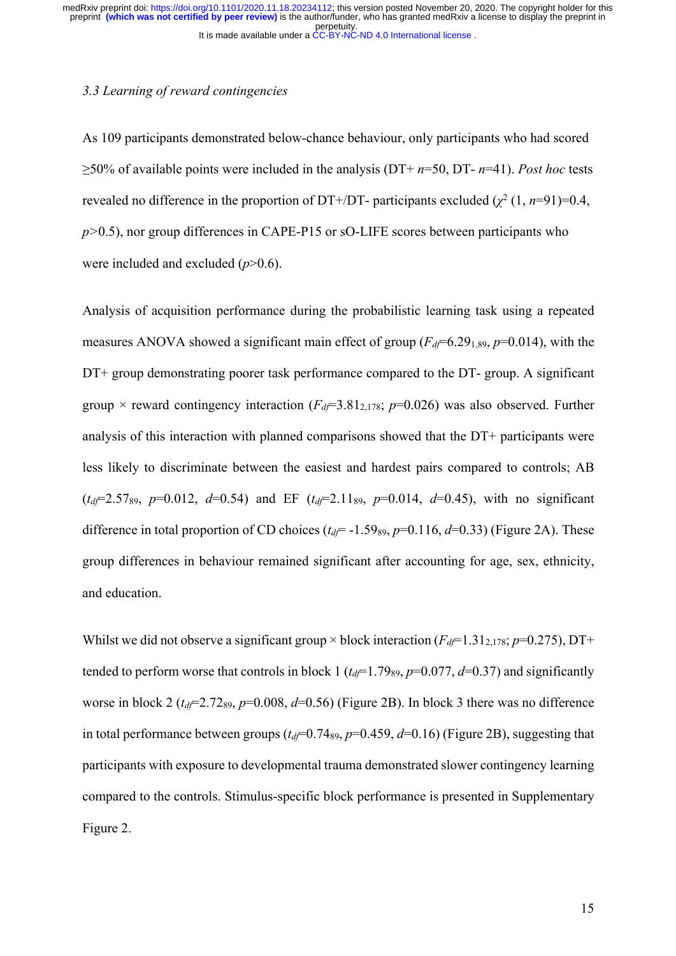## *3.3 Learning of reward contingencies*

As 109 participants demonstrated below-chance behaviour, only participants who had scored ≥50% of available points were included in the analysis (DT+ *n*=50, DT- *n*=41). *Post hoc* tests revealed no difference in the proportion of DT+/DT- participants excluded  $(\chi^2 (1, n=91)=0.4,$ *p>*0.5), nor group differences in CAPE-P15 or sO-LIFE scores between participants who were included and excluded (*p*>0.6).

Analysis of acquisition performance during the probabilistic learning task using a repeated measures ANOVA showed a significant main effect of group  $(F_d = 6.29189, p = 0.014)$ , with the DT+ group demonstrating poorer task performance compared to the DT- group. A significant group  $\times$  reward contingency interaction ( $F<sub>d</sub>F$ =3.81<sub>2,178</sub>; *p*=0.026) was also observed. Further analysis of this interaction with planned comparisons showed that the DT+ participants were less likely to discriminate between the easiest and hardest pairs compared to controls; AB  $(t_d = 2.57_{89}, p=0.012, d=0.54)$  and EF  $(t_d = 2.11_{89}, p=0.014, d=0.45)$ , with no significant difference in total proportion of CD choices ( $t_d$ = -1.59<sub>89</sub>, p=0.116, d=0.33) (Figure 2A). These group differences in behaviour remained significant after accounting for age, sex, ethnicity, and education.

Whilst we did not observe a significant group  $\times$  block interaction ( $F<sub>d</sub>$ =1.31<sub>2,178</sub>; *p*=0.275), DT+ tended to perform worse that controls in block 1 ( $t<sub>df</sub>=1.79$ <sub>89</sub>,  $p=0.077$ ,  $d=0.37$ ) and significantly worse in block 2 ( $t_d$ =2.72<sub>89</sub>, p=0.008, d=0.56) (Figure 2B). In block 3 there was no difference in total performance between groups  $(t_d$ =0.74<sub>89</sub>,  $p$ =0.459,  $d$ =0.16) (Figure 2B), suggesting that participants with exposure to developmental trauma demonstrated slower contingency learning compared to the controls. Stimulus-specific block performance is presented in Supplementary Figure 2.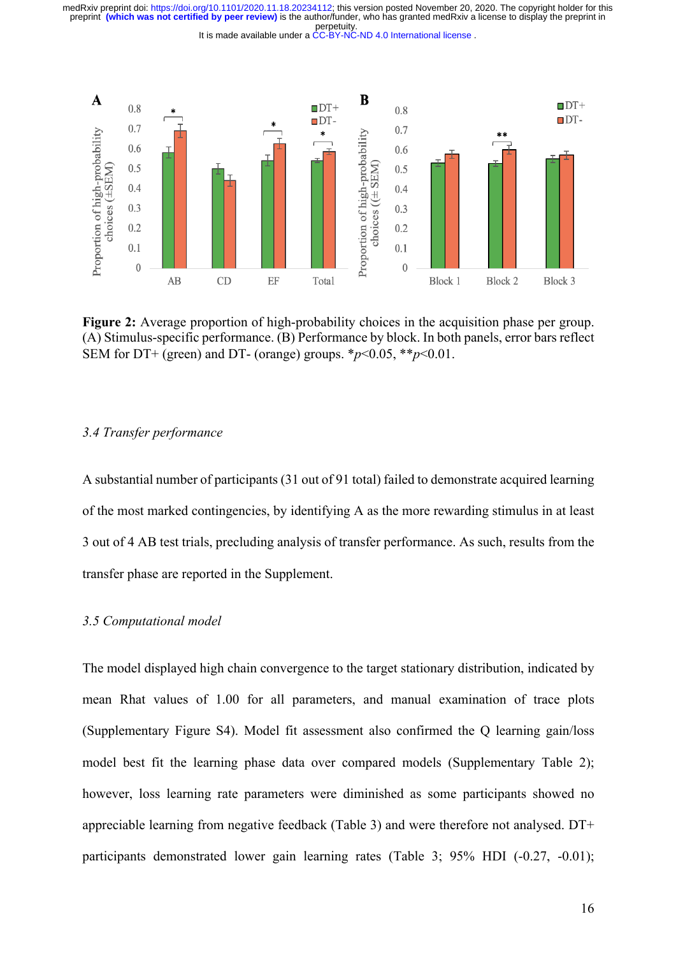perpetuity. preprint **(which was not certified by peer review)** is the author/funder, who has granted medRxiv a license to display the preprint in medRxiv preprint doi: [https://doi.org/10.1101/2020.11.18.20234112;](https://doi.org/10.1101/2020.11.18.20234112) this version posted November 20, 2020. The copyright holder for this

It is made available under a [CC-BY-NC-ND 4.0 International license](http://creativecommons.org/licenses/by-nc-nd/4.0/) .



**Figure 2:** Average proportion of high-probability choices in the acquisition phase per group. (A) Stimulus-specific performance. (B) Performance by block. In both panels, error bars reflect SEM for DT+ (green) and DT- (orange) groups.  $*_{p}$  < 0.05,  $*_{p}$  < 0.01.

## *3.4 Transfer performance*

A substantial number of participants (31 out of 91 total) failed to demonstrate acquired learning of the most marked contingencies, by identifying A as the more rewarding stimulus in at least 3 out of 4 AB test trials, precluding analysis of transfer performance. As such, results from the transfer phase are reported in the Supplement.

#### *3.5 Computational model*

The model displayed high chain convergence to the target stationary distribution, indicated by mean Rhat values of 1.00 for all parameters, and manual examination of trace plots (Supplementary Figure S4). Model fit assessment also confirmed the Q learning gain/loss model best fit the learning phase data over compared models (Supplementary Table 2); however, loss learning rate parameters were diminished as some participants showed no appreciable learning from negative feedback (Table 3) and were therefore not analysed. DT+ participants demonstrated lower gain learning rates (Table 3; 95% HDI (-0.27, -0.01);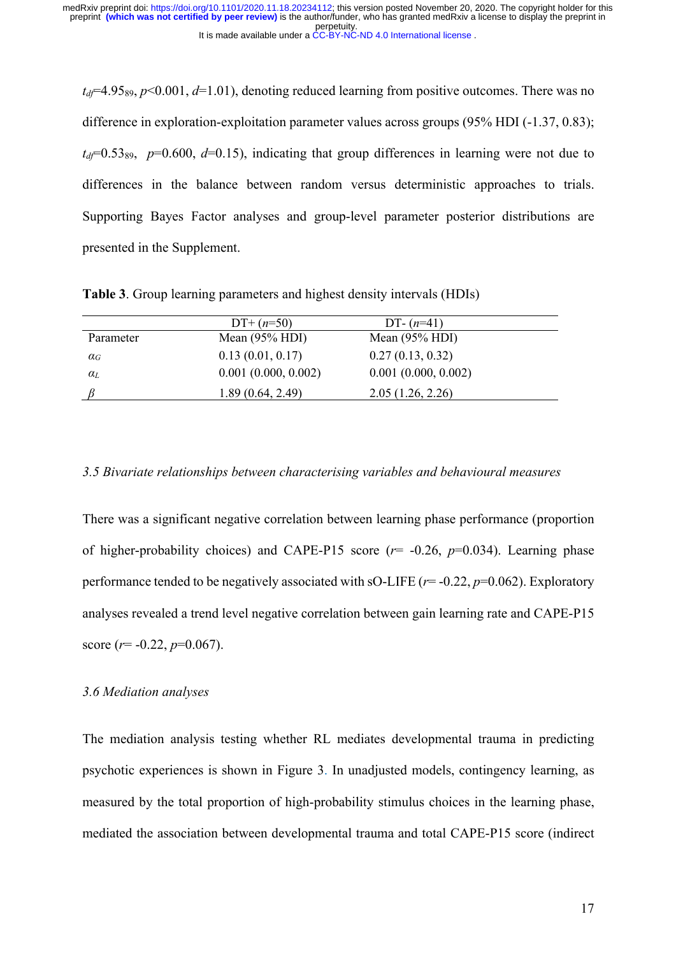$t_d$ =4.95<sub>89</sub>,  $p$ <0.001,  $d$ =1.01), denoting reduced learning from positive outcomes. There was no difference in exploration-exploitation parameter values across groups (95% HDI (-1.37, 0.83);  $t_d$ =0.53<sub>89</sub>, p=0.600, d=0.15), indicating that group differences in learning were not due to differences in the balance between random versus deterministic approaches to trials. Supporting Bayes Factor analyses and group-level parameter posterior distributions are presented in the Supplement.

|                       | $DT+(n=50)$         | DT- $(n=41)$        |  |
|-----------------------|---------------------|---------------------|--|
| Parameter             | Mean $(95\%$ HDI)   | Mean $(95\%$ HDI)   |  |
| $\alpha_G$            | 0.13(0.01, 0.17)    | 0.27(0.13, 0.32)    |  |
| $\alpha$ <sub>L</sub> | 0.001(0.000, 0.002) | 0.001(0.000, 0.002) |  |
|                       | 1.89(0.64, 2.49)    | 2.05(1.26, 2.26)    |  |

**Table 3**. Group learning parameters and highest density intervals (HDIs)

#### *3.5 Bivariate relationships between characterising variables and behavioural measures*

There was a significant negative correlation between learning phase performance (proportion of higher-probability choices) and CAPE-P15 score  $(r= -0.26, p=0.034)$ . Learning phase performance tended to be negatively associated with sO-LIFE ( $r=$  -0.22,  $p=$  0.062). Exploratory analyses revealed a trend level negative correlation between gain learning rate and CAPE-P15 score (*r*= -0.22, *p*=0.067).

## *3.6 Mediation analyses*

The mediation analysis testing whether RL mediates developmental trauma in predicting psychotic experiences is shown in Figure 3. In unadjusted models, contingency learning, as measured by the total proportion of high-probability stimulus choices in the learning phase, mediated the association between developmental trauma and total CAPE-P15 score (indirect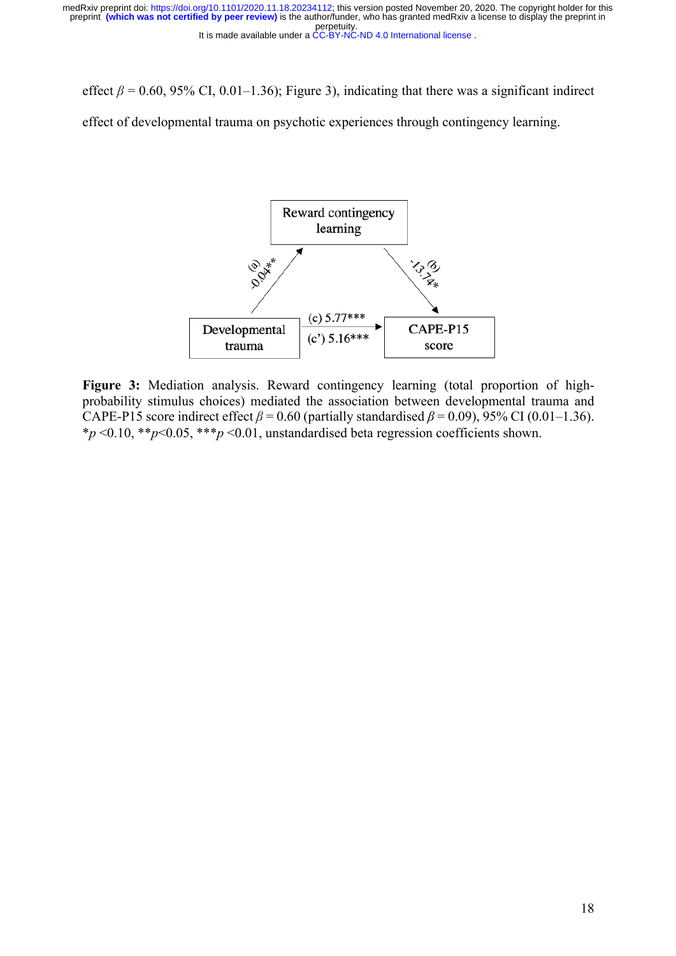effect  $\beta$  = 0.60, 95% CI, 0.01–1.36); Figure 3), indicating that there was a significant indirect

effect of developmental trauma on psychotic experiences through contingency learning.



**Figure 3:** Mediation analysis. Reward contingency learning (total proportion of highprobability stimulus choices) mediated the association between developmental trauma and CAPE-P15 score indirect effect  $\beta$  = 0.60 (partially standardised  $\beta$  = 0.09), 95% CI (0.01–1.36). \**p* <0.10, \*\**p*<0.05, \*\*\**p* <0.01, unstandardised beta regression coefficients shown.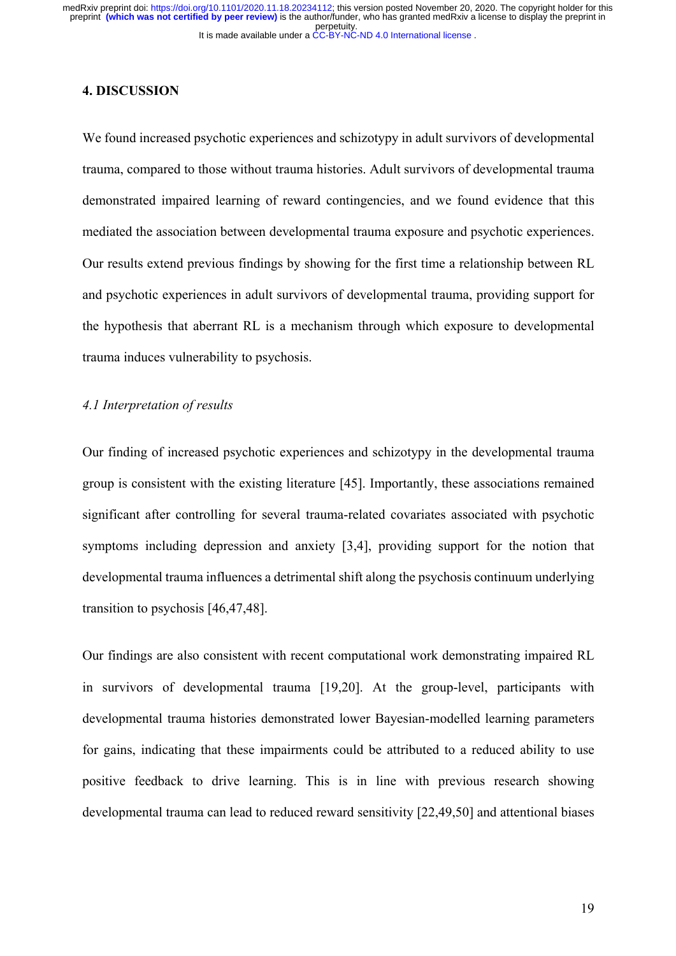## **4. DISCUSSION**

We found increased psychotic experiences and schizotypy in adult survivors of developmental trauma, compared to those without trauma histories. Adult survivors of developmental trauma demonstrated impaired learning of reward contingencies, and we found evidence that this mediated the association between developmental trauma exposure and psychotic experiences. Our results extend previous findings by showing for the first time a relationship between RL and psychotic experiences in adult survivors of developmental trauma, providing support for the hypothesis that aberrant RL is a mechanism through which exposure to developmental trauma induces vulnerability to psychosis.

## *4.1 Interpretation of results*

Our finding of increased psychotic experiences and schizotypy in the developmental trauma group is consistent with the existing literature [45]. Importantly, these associations remained significant after controlling for several trauma-related covariates associated with psychotic symptoms including depression and anxiety [3,4], providing support for the notion that developmental trauma influences a detrimental shift along the psychosis continuum underlying transition to psychosis [46,47,48].

Our findings are also consistent with recent computational work demonstrating impaired RL in survivors of developmental trauma [19,20]. At the group-level, participants with developmental trauma histories demonstrated lower Bayesian-modelled learning parameters for gains, indicating that these impairments could be attributed to a reduced ability to use positive feedback to drive learning. This is in line with previous research showing developmental trauma can lead to reduced reward sensitivity [22,49,50] and attentional biases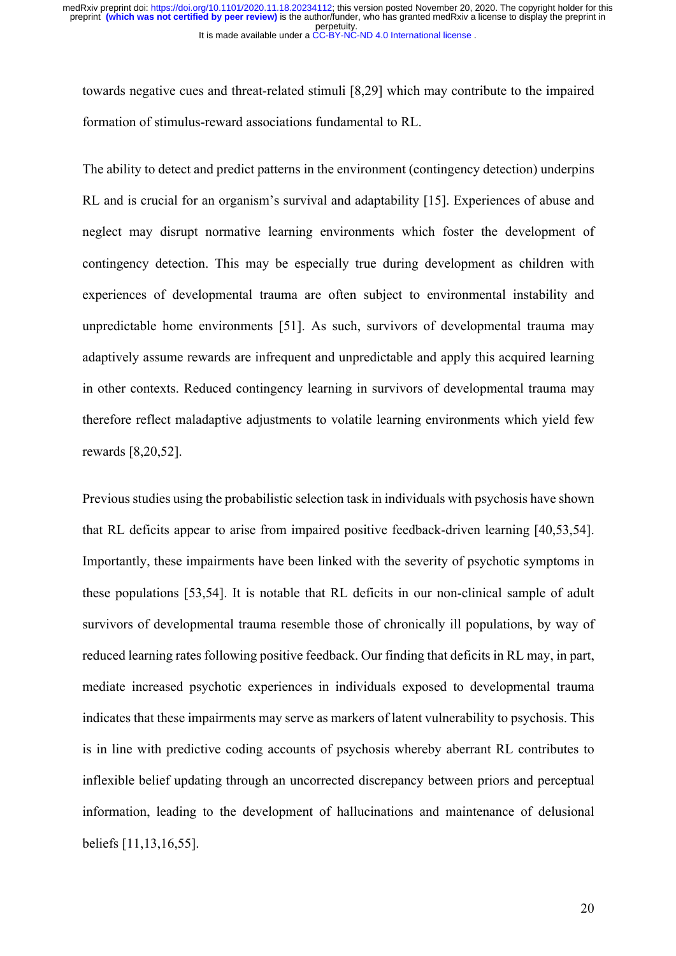towards negative cues and threat-related stimuli [8,29] which may contribute to the impaired formation of stimulus-reward associations fundamental to RL.

The ability to detect and predict patterns in the environment (contingency detection) underpins RL and is crucial for an organism's survival and adaptability [15]. Experiences of abuse and neglect may disrupt normative learning environments which foster the development of contingency detection. This may be especially true during development as children with experiences of developmental trauma are often subject to environmental instability and unpredictable home environments [51]. As such, survivors of developmental trauma may adaptively assume rewards are infrequent and unpredictable and apply this acquired learning in other contexts. Reduced contingency learning in survivors of developmental trauma may therefore reflect maladaptive adjustments to volatile learning environments which yield few rewards [8,20,52].

Previous studies using the probabilistic selection task in individuals with psychosis have shown that RL deficits appear to arise from impaired positive feedback-driven learning [40,53,54]. Importantly, these impairments have been linked with the severity of psychotic symptoms in these populations [53,54]. It is notable that RL deficits in our non-clinical sample of adult survivors of developmental trauma resemble those of chronically ill populations, by way of reduced learning rates following positive feedback. Our finding that deficits in RL may, in part, mediate increased psychotic experiences in individuals exposed to developmental trauma indicates that these impairments may serve as markers of latent vulnerability to psychosis. This is in line with predictive coding accounts of psychosis whereby aberrant RL contributes to inflexible belief updating through an uncorrected discrepancy between priors and perceptual information, leading to the development of hallucinations and maintenance of delusional beliefs [11,13,16,55].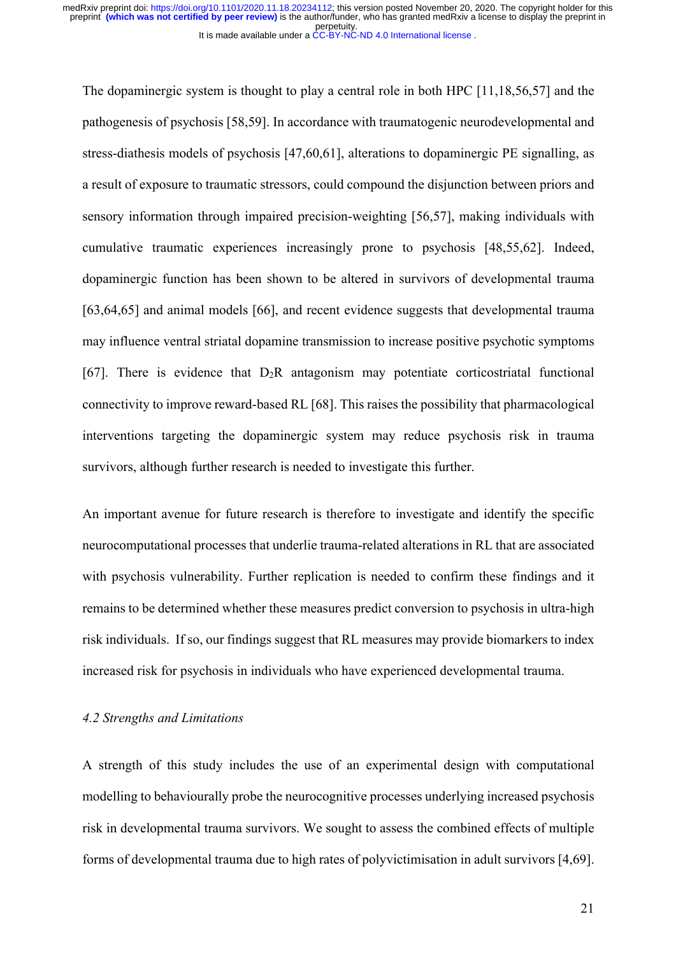The dopaminergic system is thought to play a central role in both HPC [11,18,56,57] and the pathogenesis of psychosis [58,59]. In accordance with traumatogenic neurodevelopmental and stress-diathesis models of psychosis [47,60,61], alterations to dopaminergic PE signalling, as a result of exposure to traumatic stressors, could compound the disjunction between priors and sensory information through impaired precision-weighting [56,57], making individuals with cumulative traumatic experiences increasingly prone to psychosis [48,55,62]. Indeed, dopaminergic function has been shown to be altered in survivors of developmental trauma [63,64,65] and animal models [66], and recent evidence suggests that developmental trauma may influence ventral striatal dopamine transmission to increase positive psychotic symptoms [67]. There is evidence that  $D_2R$  antagonism may potentiate corticostriatal functional connectivity to improve reward-based RL [68]. This raises the possibility that pharmacological interventions targeting the dopaminergic system may reduce psychosis risk in trauma survivors, although further research is needed to investigate this further.

An important avenue for future research is therefore to investigate and identify the specific neurocomputational processes that underlie trauma-related alterations in RL that are associated with psychosis vulnerability. Further replication is needed to confirm these findings and it remains to be determined whether these measures predict conversion to psychosis in ultra-high risk individuals. If so, our findings suggest that RL measures may provide biomarkers to index increased risk for psychosis in individuals who have experienced developmental trauma.

## *4.2 Strengths and Limitations*

A strength of this study includes the use of an experimental design with computational modelling to behaviourally probe the neurocognitive processes underlying increased psychosis risk in developmental trauma survivors. We sought to assess the combined effects of multiple forms of developmental trauma due to high rates of polyvictimisation in adult survivors [4,69].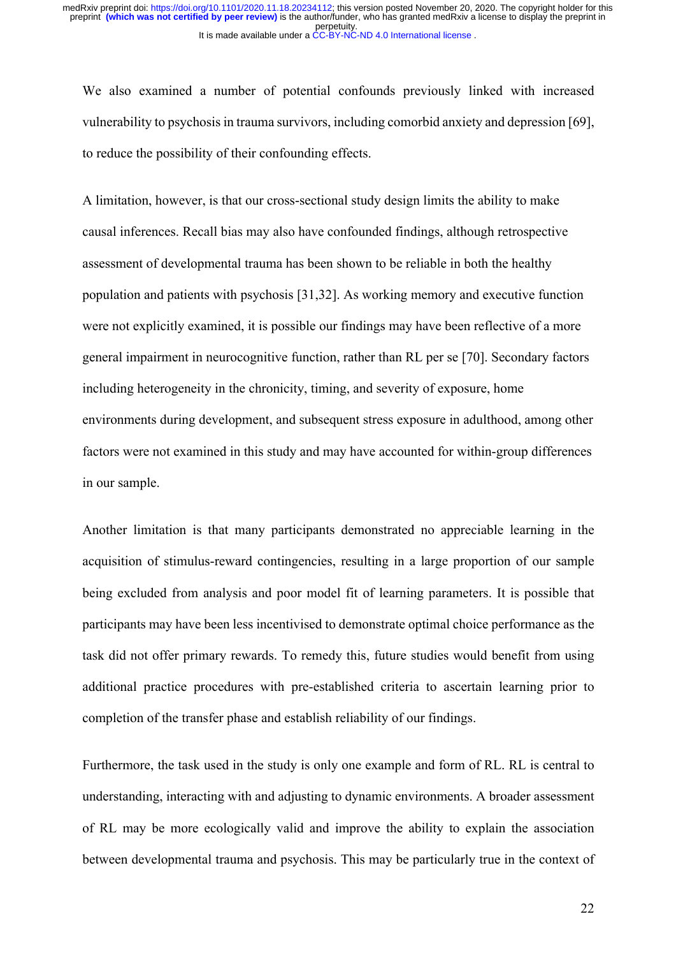We also examined a number of potential confounds previously linked with increased vulnerability to psychosis in trauma survivors, including comorbid anxiety and depression [69], to reduce the possibility of their confounding effects.

A limitation, however, is that our cross-sectional study design limits the ability to make causal inferences. Recall bias may also have confounded findings, although retrospective assessment of developmental trauma has been shown to be reliable in both the healthy population and patients with psychosis [31,32]. As working memory and executive function were not explicitly examined, it is possible our findings may have been reflective of a more general impairment in neurocognitive function, rather than RL per se [70]. Secondary factors including heterogeneity in the chronicity, timing, and severity of exposure, home environments during development, and subsequent stress exposure in adulthood, among other factors were not examined in this study and may have accounted for within-group differences in our sample.

Another limitation is that many participants demonstrated no appreciable learning in the acquisition of stimulus-reward contingencies, resulting in a large proportion of our sample being excluded from analysis and poor model fit of learning parameters. It is possible that participants may have been less incentivised to demonstrate optimal choice performance as the task did not offer primary rewards. To remedy this, future studies would benefit from using additional practice procedures with pre-established criteria to ascertain learning prior to completion of the transfer phase and establish reliability of our findings.

Furthermore, the task used in the study is only one example and form of RL. RL is central to understanding, interacting with and adjusting to dynamic environments. A broader assessment of RL may be more ecologically valid and improve the ability to explain the association between developmental trauma and psychosis. This may be particularly true in the context of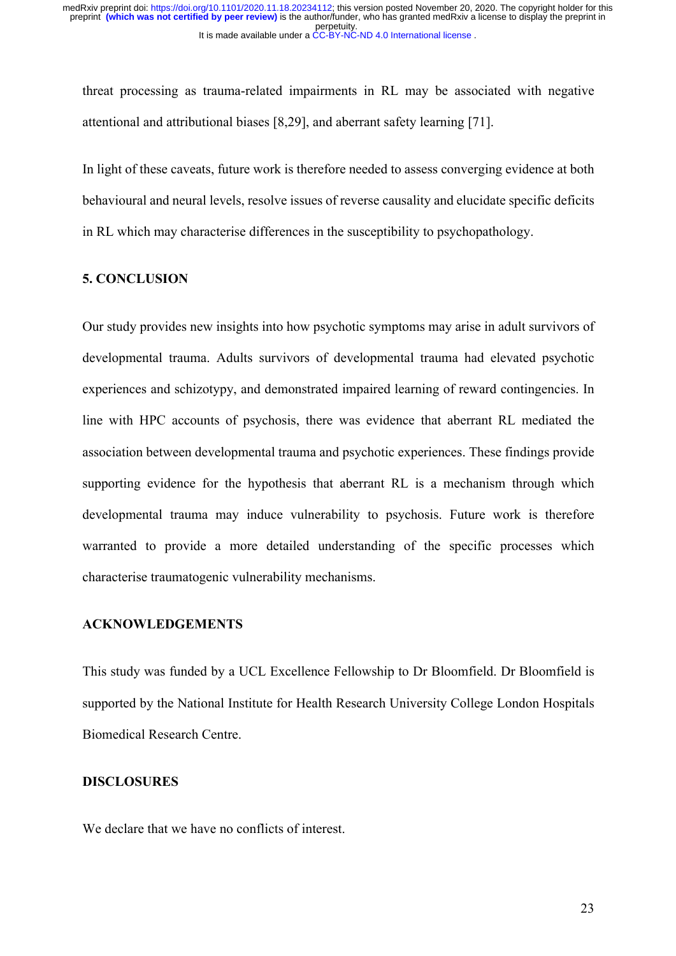threat processing as trauma-related impairments in RL may be associated with negative attentional and attributional biases [8,29], and aberrant safety learning [71].

In light of these caveats, future work is therefore needed to assess converging evidence at both behavioural and neural levels, resolve issues of reverse causality and elucidate specific deficits in RL which may characterise differences in the susceptibility to psychopathology.

# **5. CONCLUSION**

Our study provides new insights into how psychotic symptoms may arise in adult survivors of developmental trauma. Adults survivors of developmental trauma had elevated psychotic experiences and schizotypy, and demonstrated impaired learning of reward contingencies. In line with HPC accounts of psychosis, there was evidence that aberrant RL mediated the association between developmental trauma and psychotic experiences. These findings provide supporting evidence for the hypothesis that aberrant RL is a mechanism through which developmental trauma may induce vulnerability to psychosis. Future work is therefore warranted to provide a more detailed understanding of the specific processes which characterise traumatogenic vulnerability mechanisms.

## **ACKNOWLEDGEMENTS**

This study was funded by a UCL Excellence Fellowship to Dr Bloomfield. Dr Bloomfield is supported by the National Institute for Health Research University College London Hospitals Biomedical Research Centre.

#### **DISCLOSURES**

We declare that we have no conflicts of interest.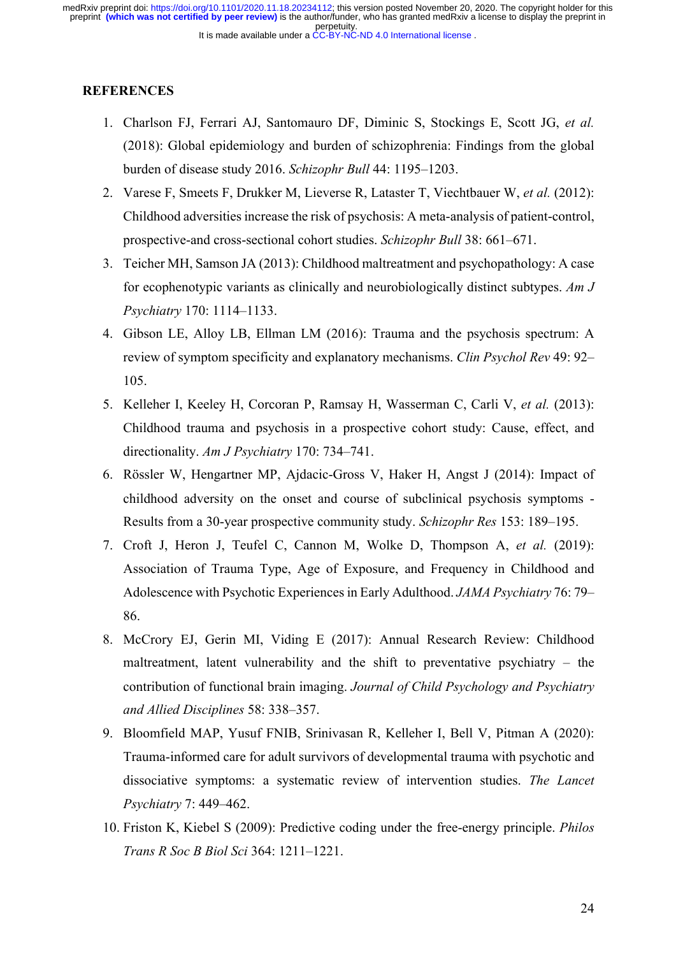## **REFERENCES**

- 1. Charlson FJ, Ferrari AJ, Santomauro DF, Diminic S, Stockings E, Scott JG, *et al.* (2018): Global epidemiology and burden of schizophrenia: Findings from the global burden of disease study 2016. *Schizophr Bull* 44: 1195–1203.
- 2. Varese F, Smeets F, Drukker M, Lieverse R, Lataster T, Viechtbauer W, *et al.* (2012): Childhood adversities increase the risk of psychosis: A meta-analysis of patient-control, prospective-and cross-sectional cohort studies. *Schizophr Bull* 38: 661–671.
- 3. Teicher MH, Samson JA (2013): Childhood maltreatment and psychopathology: A case for ecophenotypic variants as clinically and neurobiologically distinct subtypes. *Am J Psychiatry* 170: 1114–1133.
- 4. Gibson LE, Alloy LB, Ellman LM (2016): Trauma and the psychosis spectrum: A review of symptom specificity and explanatory mechanisms. *Clin Psychol Rev* 49: 92– 105.
- 5. Kelleher I, Keeley H, Corcoran P, Ramsay H, Wasserman C, Carli V, *et al.* (2013): Childhood trauma and psychosis in a prospective cohort study: Cause, effect, and directionality. *Am J Psychiatry* 170: 734–741.
- 6. Rössler W, Hengartner MP, Ajdacic-Gross V, Haker H, Angst J (2014): Impact of childhood adversity on the onset and course of subclinical psychosis symptoms - Results from a 30-year prospective community study. *Schizophr Res* 153: 189–195.
- 7. Croft J, Heron J, Teufel C, Cannon M, Wolke D, Thompson A, *et al.* (2019): Association of Trauma Type, Age of Exposure, and Frequency in Childhood and Adolescence with Psychotic Experiences in Early Adulthood. *JAMA Psychiatry* 76: 79– 86.
- 8. McCrory EJ, Gerin MI, Viding E (2017): Annual Research Review: Childhood maltreatment, latent vulnerability and the shift to preventative psychiatry – the contribution of functional brain imaging. *Journal of Child Psychology and Psychiatry and Allied Disciplines* 58: 338–357.
- 9. Bloomfield MAP, Yusuf FNIB, Srinivasan R, Kelleher I, Bell V, Pitman A (2020): Trauma-informed care for adult survivors of developmental trauma with psychotic and dissociative symptoms: a systematic review of intervention studies. *The Lancet Psychiatry* 7: 449–462.
- 10. Friston K, Kiebel S (2009): Predictive coding under the free-energy principle. *Philos Trans R Soc B Biol Sci* 364: 1211–1221.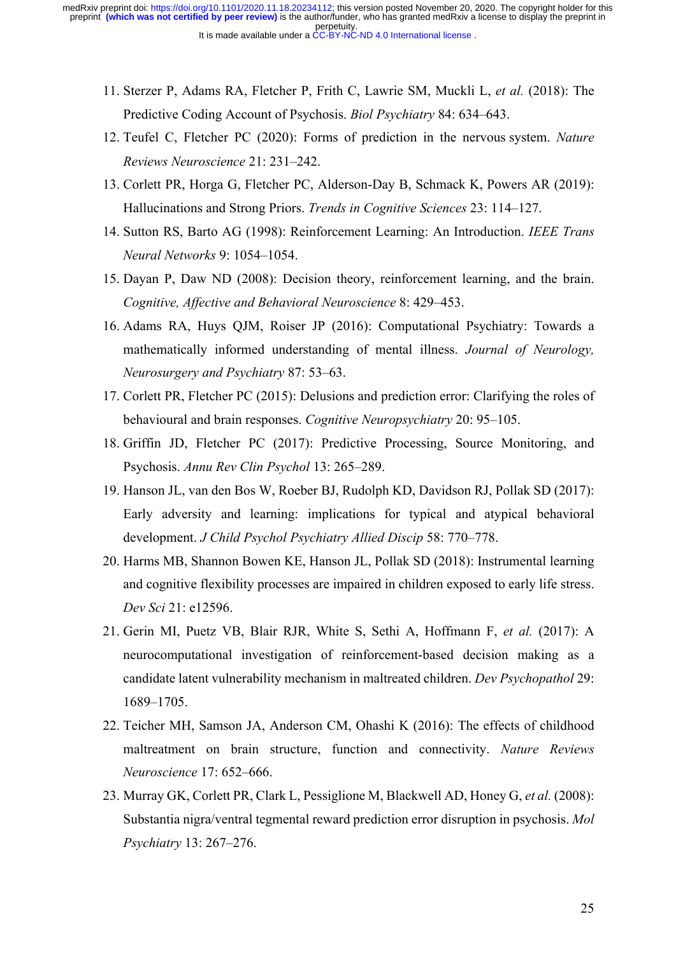- 11. Sterzer P, Adams RA, Fletcher P, Frith C, Lawrie SM, Muckli L, *et al.* (2018): The Predictive Coding Account of Psychosis. *Biol Psychiatry* 84: 634–643.
- 12. Teufel C, Fletcher PC (2020): Forms of prediction in the nervous system. *Nature Reviews Neuroscience* 21: 231–242.
- 13. Corlett PR, Horga G, Fletcher PC, Alderson-Day B, Schmack K, Powers AR (2019): Hallucinations and Strong Priors. *Trends in Cognitive Sciences* 23: 114–127.
- 14. Sutton RS, Barto AG (1998): Reinforcement Learning: An Introduction. *IEEE Trans Neural Networks* 9: 1054–1054.
- 15. Dayan P, Daw ND (2008): Decision theory, reinforcement learning, and the brain. *Cognitive, Affective and Behavioral Neuroscience* 8: 429–453.
- 16. Adams RA, Huys QJM, Roiser JP (2016): Computational Psychiatry: Towards a mathematically informed understanding of mental illness. *Journal of Neurology, Neurosurgery and Psychiatry* 87: 53–63.
- 17. Corlett PR, Fletcher PC (2015): Delusions and prediction error: Clarifying the roles of behavioural and brain responses. *Cognitive Neuropsychiatry* 20: 95–105.
- 18. Griffin JD, Fletcher PC (2017): Predictive Processing, Source Monitoring, and Psychosis. *Annu Rev Clin Psychol* 13: 265–289.
- 19. Hanson JL, van den Bos W, Roeber BJ, Rudolph KD, Davidson RJ, Pollak SD (2017): Early adversity and learning: implications for typical and atypical behavioral development. *J Child Psychol Psychiatry Allied Discip* 58: 770–778.
- 20. Harms MB, Shannon Bowen KE, Hanson JL, Pollak SD (2018): Instrumental learning and cognitive flexibility processes are impaired in children exposed to early life stress. *Dev Sci* 21: e12596.
- 21. Gerin MI, Puetz VB, Blair RJR, White S, Sethi A, Hoffmann F, *et al.* (2017): A neurocomputational investigation of reinforcement-based decision making as a candidate latent vulnerability mechanism in maltreated children. *Dev Psychopathol* 29: 1689–1705.
- 22. Teicher MH, Samson JA, Anderson CM, Ohashi K (2016): The effects of childhood maltreatment on brain structure, function and connectivity. *Nature Reviews Neuroscience* 17: 652–666.
- 23. Murray GK, Corlett PR, Clark L, Pessiglione M, Blackwell AD, Honey G, *et al.* (2008): Substantia nigra/ventral tegmental reward prediction error disruption in psychosis. *Mol Psychiatry* 13: 267–276.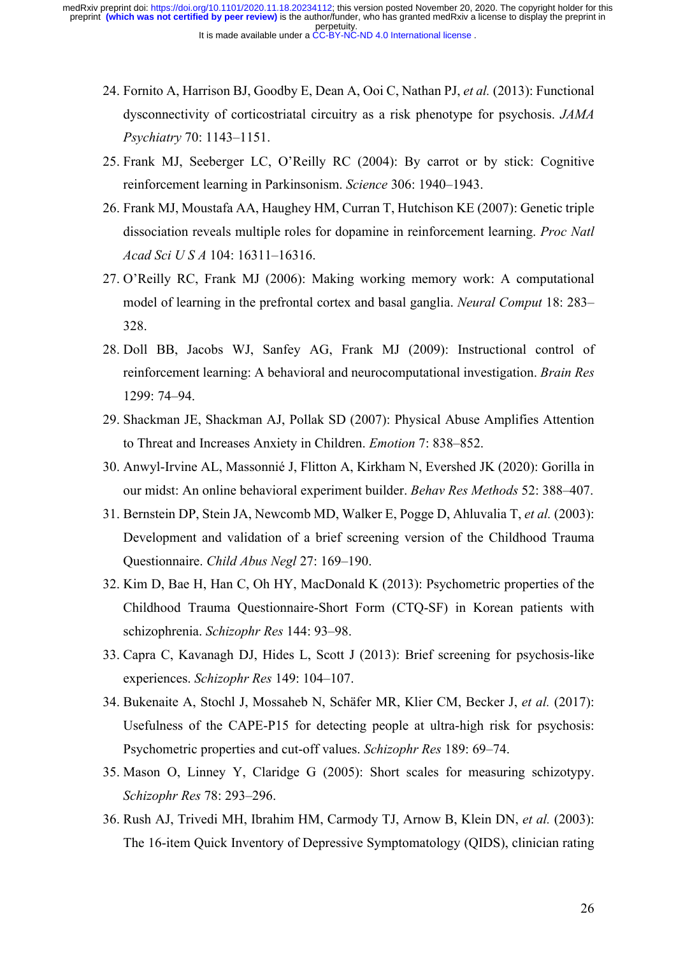- 24. Fornito A, Harrison BJ, Goodby E, Dean A, Ooi C, Nathan PJ, *et al.* (2013): Functional dysconnectivity of corticostriatal circuitry as a risk phenotype for psychosis. *JAMA Psychiatry* 70: 1143–1151.
- 25. Frank MJ, Seeberger LC, O'Reilly RC (2004): By carrot or by stick: Cognitive reinforcement learning in Parkinsonism. *Science* 306: 1940–1943.
- 26. Frank MJ, Moustafa AA, Haughey HM, Curran T, Hutchison KE (2007): Genetic triple dissociation reveals multiple roles for dopamine in reinforcement learning. *Proc Natl Acad Sci U S A* 104: 16311–16316.
- 27. O'Reilly RC, Frank MJ (2006): Making working memory work: A computational model of learning in the prefrontal cortex and basal ganglia. *Neural Comput* 18: 283– 328.
- 28. Doll BB, Jacobs WJ, Sanfey AG, Frank MJ (2009): Instructional control of reinforcement learning: A behavioral and neurocomputational investigation. *Brain Res* 1299: 74–94.
- 29. Shackman JE, Shackman AJ, Pollak SD (2007): Physical Abuse Amplifies Attention to Threat and Increases Anxiety in Children. *Emotion* 7: 838–852.
- 30. Anwyl-Irvine AL, Massonnié J, Flitton A, Kirkham N, Evershed JK (2020): Gorilla in our midst: An online behavioral experiment builder. *Behav Res Methods* 52: 388–407.
- 31. Bernstein DP, Stein JA, Newcomb MD, Walker E, Pogge D, Ahluvalia T, *et al.* (2003): Development and validation of a brief screening version of the Childhood Trauma Questionnaire. *Child Abus Negl* 27: 169–190.
- 32. Kim D, Bae H, Han C, Oh HY, MacDonald K (2013): Psychometric properties of the Childhood Trauma Questionnaire-Short Form (CTQ-SF) in Korean patients with schizophrenia. *Schizophr Res* 144: 93–98.
- 33. Capra C, Kavanagh DJ, Hides L, Scott J (2013): Brief screening for psychosis-like experiences. *Schizophr Res* 149: 104–107.
- 34. Bukenaite A, Stochl J, Mossaheb N, Schäfer MR, Klier CM, Becker J, *et al.* (2017): Usefulness of the CAPE-P15 for detecting people at ultra-high risk for psychosis: Psychometric properties and cut-off values. *Schizophr Res* 189: 69–74.
- 35. Mason O, Linney Y, Claridge G (2005): Short scales for measuring schizotypy. *Schizophr Res* 78: 293–296.
- 36. Rush AJ, Trivedi MH, Ibrahim HM, Carmody TJ, Arnow B, Klein DN, *et al.* (2003): The 16-item Quick Inventory of Depressive Symptomatology (QIDS), clinician rating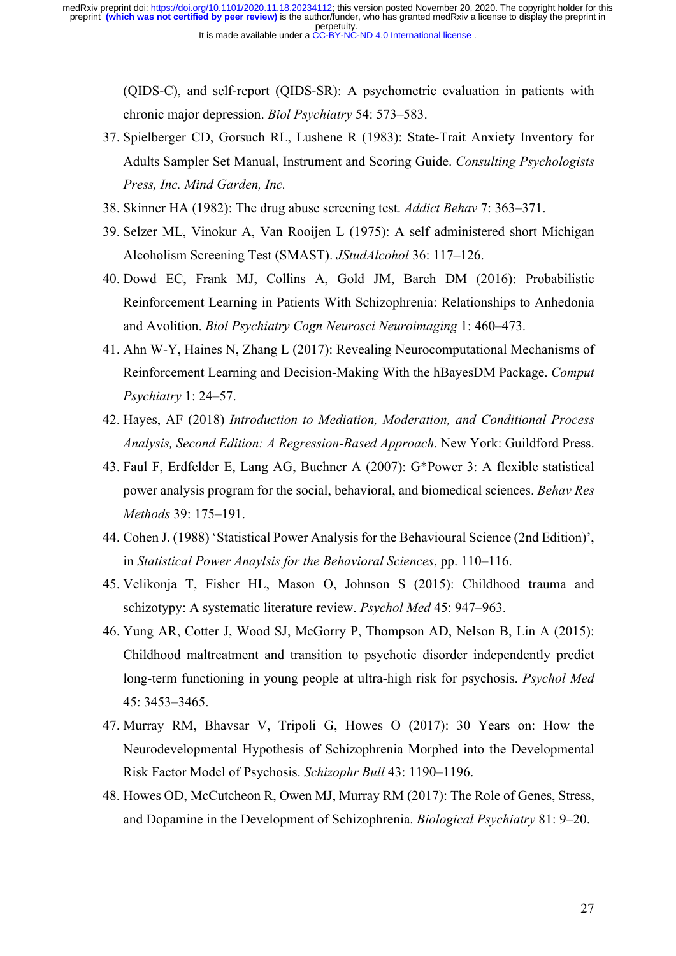> (QIDS-C), and self-report (QIDS-SR): A psychometric evaluation in patients with chronic major depression. *Biol Psychiatry* 54: 573–583.

- 37. Spielberger CD, Gorsuch RL, Lushene R (1983): State-Trait Anxiety Inventory for Adults Sampler Set Manual, Instrument and Scoring Guide. *Consulting Psychologists Press, Inc. Mind Garden, Inc.*
- 38. Skinner HA (1982): The drug abuse screening test. *Addict Behav* 7: 363–371.
- 39. Selzer ML, Vinokur A, Van Rooijen L (1975): A self administered short Michigan Alcoholism Screening Test (SMAST). *JStudAlcohol* 36: 117–126.
- 40. Dowd EC, Frank MJ, Collins A, Gold JM, Barch DM (2016): Probabilistic Reinforcement Learning in Patients With Schizophrenia: Relationships to Anhedonia and Avolition. *Biol Psychiatry Cogn Neurosci Neuroimaging* 1: 460–473.
- 41. Ahn W-Y, Haines N, Zhang L (2017): Revealing Neurocomputational Mechanisms of Reinforcement Learning and Decision-Making With the hBayesDM Package. *Comput Psychiatry* 1: 24–57.
- 42. Hayes, AF (2018) *Introduction to Mediation, Moderation, and Conditional Process Analysis, Second Edition: A Regression-Based Approach*. New York: Guildford Press.
- 43. Faul F, Erdfelder E, Lang AG, Buchner A (2007): G\*Power 3: A flexible statistical power analysis program for the social, behavioral, and biomedical sciences. *Behav Res Methods* 39: 175–191.
- 44. Cohen J. (1988) 'Statistical Power Analysis for the Behavioural Science (2nd Edition)', in *Statistical Power Anaylsis for the Behavioral Sciences*, pp. 110–116.
- 45. Velikonja T, Fisher HL, Mason O, Johnson S (2015): Childhood trauma and schizotypy: A systematic literature review. *Psychol Med* 45: 947–963.
- 46. Yung AR, Cotter J, Wood SJ, McGorry P, Thompson AD, Nelson B, Lin A (2015): Childhood maltreatment and transition to psychotic disorder independently predict long-term functioning in young people at ultra-high risk for psychosis. *Psychol Med* 45: 3453–3465.
- 47. Murray RM, Bhavsar V, Tripoli G, Howes O (2017): 30 Years on: How the Neurodevelopmental Hypothesis of Schizophrenia Morphed into the Developmental Risk Factor Model of Psychosis. *Schizophr Bull* 43: 1190–1196.
- 48. Howes OD, McCutcheon R, Owen MJ, Murray RM (2017): The Role of Genes, Stress, and Dopamine in the Development of Schizophrenia. *Biological Psychiatry* 81: 9–20.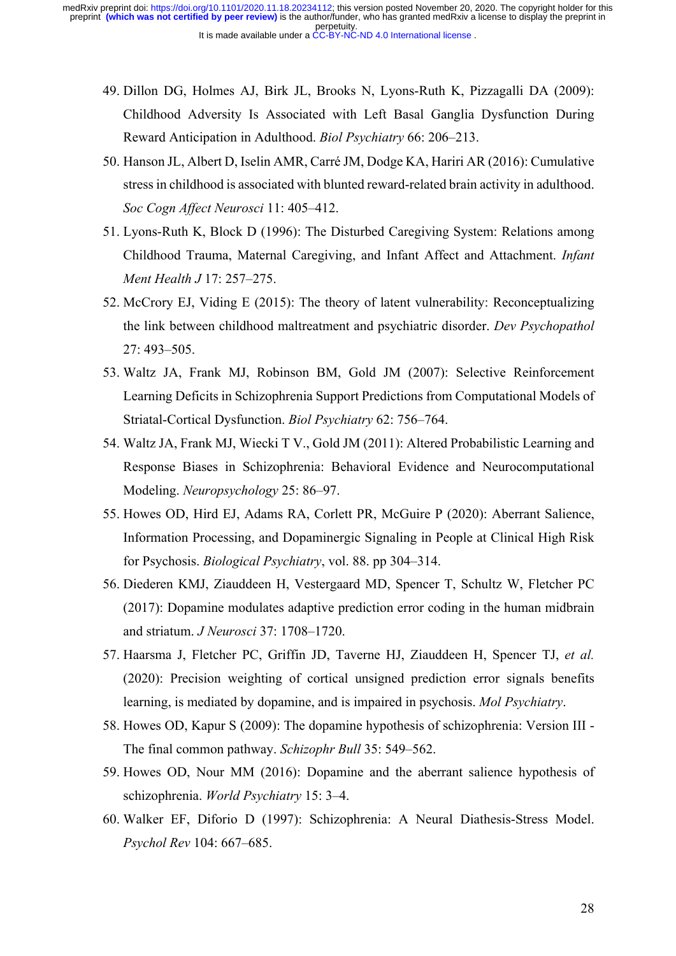- 49. Dillon DG, Holmes AJ, Birk JL, Brooks N, Lyons-Ruth K, Pizzagalli DA (2009): Childhood Adversity Is Associated with Left Basal Ganglia Dysfunction During Reward Anticipation in Adulthood. *Biol Psychiatry* 66: 206–213.
- 50. Hanson JL, Albert D, Iselin AMR, Carré JM, Dodge KA, Hariri AR (2016): Cumulative stress in childhood is associated with blunted reward-related brain activity in adulthood. *Soc Cogn Affect Neurosci* 11: 405–412.
- 51. Lyons-Ruth K, Block D (1996): The Disturbed Caregiving System: Relations among Childhood Trauma, Maternal Caregiving, and Infant Affect and Attachment. *Infant Ment Health J* 17: 257–275.
- 52. McCrory EJ, Viding E (2015): The theory of latent vulnerability: Reconceptualizing the link between childhood maltreatment and psychiatric disorder. *Dev Psychopathol* 27: 493–505.
- 53. Waltz JA, Frank MJ, Robinson BM, Gold JM (2007): Selective Reinforcement Learning Deficits in Schizophrenia Support Predictions from Computational Models of Striatal-Cortical Dysfunction. *Biol Psychiatry* 62: 756–764.
- 54. Waltz JA, Frank MJ, Wiecki T V., Gold JM (2011): Altered Probabilistic Learning and Response Biases in Schizophrenia: Behavioral Evidence and Neurocomputational Modeling. *Neuropsychology* 25: 86–97.
- 55. Howes OD, Hird EJ, Adams RA, Corlett PR, McGuire P (2020): Aberrant Salience, Information Processing, and Dopaminergic Signaling in People at Clinical High Risk for Psychosis. *Biological Psychiatry*, vol. 88. pp 304–314.
- 56. Diederen KMJ, Ziauddeen H, Vestergaard MD, Spencer T, Schultz W, Fletcher PC (2017): Dopamine modulates adaptive prediction error coding in the human midbrain and striatum. *J Neurosci* 37: 1708–1720.
- 57. Haarsma J, Fletcher PC, Griffin JD, Taverne HJ, Ziauddeen H, Spencer TJ, *et al.* (2020): Precision weighting of cortical unsigned prediction error signals benefits learning, is mediated by dopamine, and is impaired in psychosis. *Mol Psychiatry*.
- 58. Howes OD, Kapur S (2009): The dopamine hypothesis of schizophrenia: Version III The final common pathway. *Schizophr Bull* 35: 549–562.
- 59. Howes OD, Nour MM (2016): Dopamine and the aberrant salience hypothesis of schizophrenia. *World Psychiatry* 15: 3–4.
- 60. Walker EF, Diforio D (1997): Schizophrenia: A Neural Diathesis-Stress Model. *Psychol Rev* 104: 667–685.